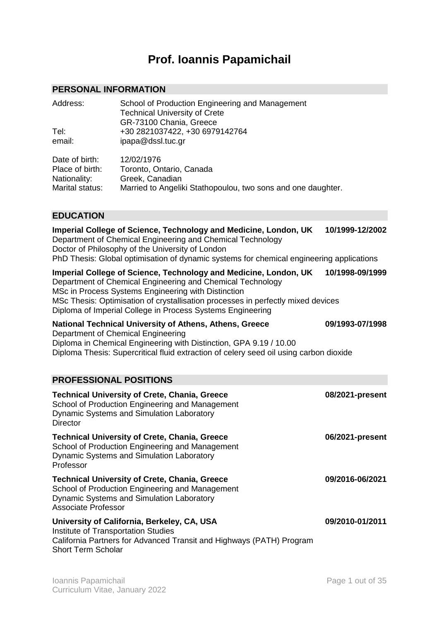# **Prof. Ioannis Papamichail**

# **PERSONAL INFORMATION**

| Address:<br>Tel:<br>email: | School of Production Engineering and Management<br><b>Technical University of Crete</b><br>GR-73100 Chania, Greece<br>+30 2821037422, +30 6979142764<br>ipapa@dssl.tuc.gr |
|----------------------------|---------------------------------------------------------------------------------------------------------------------------------------------------------------------------|
| Date of birth:             | 12/02/1976                                                                                                                                                                |
| Place of birth:            | Toronto, Ontario, Canada                                                                                                                                                  |
| Nationality:               | Greek, Canadian                                                                                                                                                           |
| Marital status:            | Married to Angeliki Stathopoulou, two sons and one daughter.                                                                                                              |

# **EDUCATION**

| Imperial College of Science, Technology and Medicine, London, UK<br>Department of Chemical Engineering and Chemical Technology<br>Doctor of Philosophy of the University of London<br>PhD Thesis: Global optimisation of dynamic systems for chemical engineering applications                                                          | 10/1999-12/2002 |
|-----------------------------------------------------------------------------------------------------------------------------------------------------------------------------------------------------------------------------------------------------------------------------------------------------------------------------------------|-----------------|
| Imperial College of Science, Technology and Medicine, London, UK<br>Department of Chemical Engineering and Chemical Technology<br>MSc in Process Systems Engineering with Distinction<br>MSc Thesis: Optimisation of crystallisation processes in perfectly mixed devices<br>Diploma of Imperial College in Process Systems Engineering | 10/1998-09/1999 |
| National Technical University of Athens, Athens, Greece<br>Department of Chemical Engineering<br>Diploma in Chemical Engineering with Distinction, GPA 9.19 / 10.00<br>Diploma Thesis: Supercritical fluid extraction of celery seed oil using carbon dioxide                                                                           | 09/1993-07/1998 |
| <b>PROFESSIONAL POSITIONS</b>                                                                                                                                                                                                                                                                                                           |                 |
| <b>Technical University of Crete, Chania, Greece</b><br>School of Production Engineering and Management<br>Dynamic Systems and Simulation Laboratory<br><b>Director</b>                                                                                                                                                                 | 08/2021-present |
| <b>Technical University of Crete, Chania, Greece</b><br>School of Production Engineering and Management<br><b>Dynamic Systems and Simulation Laboratory</b><br>Professor                                                                                                                                                                | 06/2021-present |
| <b>Technical University of Crete, Chania, Greece</b><br>School of Production Engineering and Management<br><b>Dynamic Systems and Simulation Laboratory</b><br><b>Associate Professor</b>                                                                                                                                               | 09/2016-06/2021 |
| University of California, Berkeley, CA, USA<br>Institute of Transportation Studies<br>California Partners for Advanced Transit and Highways (PATH) Program<br><b>Short Term Scholar</b>                                                                                                                                                 | 09/2010-01/2011 |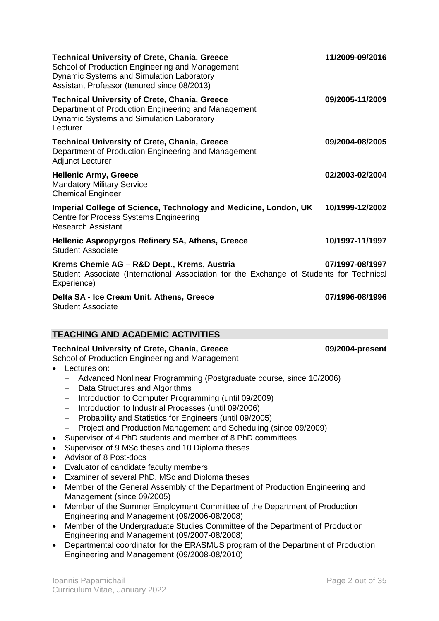| <b>Technical University of Crete, Chania, Greece</b><br>School of Production Engineering and Management<br><b>Dynamic Systems and Simulation Laboratory</b><br>Assistant Professor (tenured since 08/2013) | 11/2009-09/2016 |
|------------------------------------------------------------------------------------------------------------------------------------------------------------------------------------------------------------|-----------------|
| <b>Technical University of Crete, Chania, Greece</b><br>Department of Production Engineering and Management<br>Dynamic Systems and Simulation Laboratory<br>Lecturer                                       | 09/2005-11/2009 |
| <b>Technical University of Crete, Chania, Greece</b><br>Department of Production Engineering and Management<br><b>Adjunct Lecturer</b>                                                                     | 09/2004-08/2005 |
| <b>Hellenic Army, Greece</b><br><b>Mandatory Military Service</b><br><b>Chemical Engineer</b>                                                                                                              | 02/2003-02/2004 |
| Imperial College of Science, Technology and Medicine, London, UK<br>Centre for Process Systems Engineering<br><b>Research Assistant</b>                                                                    | 10/1999-12/2002 |
| <b>Hellenic Aspropyrgos Refinery SA, Athens, Greece</b><br><b>Student Associate</b>                                                                                                                        | 10/1997-11/1997 |
| Krems Chemie AG - R&D Dept., Krems, Austria<br>Student Associate (International Association for the Exchange of Students for Technical<br>Experience)                                                      | 07/1997-08/1997 |
| Delta SA - Ice Cream Unit, Athens, Greece<br><b>Student Associate</b>                                                                                                                                      | 07/1996-08/1996 |

# **TEACHING AND ACADEMIC ACTIVITIES**

# **Technical University of Crete, Chania, Greece 09/2004-present**

# School of Production Engineering and Management

- Lectures on:
	- Advanced Nonlinear Programming (Postgraduate course, since 10/2006)
	- Data Structures and Algorithms
	- Introduction to Computer Programming (until 09/2009)
	- Introduction to Industrial Processes (until 09/2006)
	- Probability and Statistics for Engineers (until 09/2005)
	- Project and Production Management and Scheduling (since 09/2009)
- Supervisor of 4 PhD students and member of 8 PhD committees
- Supervisor of 9 MSc theses and 10 Diploma theses
- Advisor of 8 Post-docs
- Evaluator of candidate faculty members
- Examiner of several PhD, MSc and Diploma theses
- Member of the General Assembly of the Department of Production Engineering and Management (since 09/2005)
- Member of the Summer Employment Committee of the Department of Production Engineering and Management (09/2006-08/2008)
- Member of the Undergraduate Studies Committee of the Department of Production Engineering and Management (09/2007-08/2008)
- Departmental coordinator for the ERASMUS program of the Department of Production Engineering and Management (09/2008-08/2010)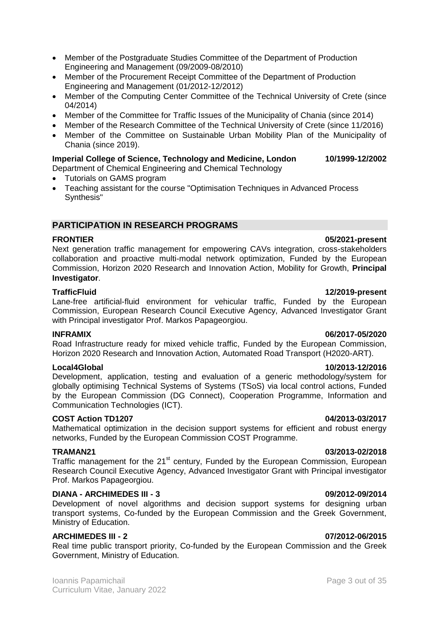- Member of the Postgraduate Studies Committee of the Department of Production Engineering and Management (09/2009-08/2010)
- Member of the Procurement Receipt Committee of the Department of Production Engineering and Management (01/2012-12/2012)
- Member of the Computing Center Committee of the Technical University of Crete (since 04/2014)
- Member of the Committee for Traffic Issues of the Municipality of Chania (since 2014)
- Member of the Research Committee of the Technical University of Crete (since 11/2016)
- Member of the Committee on Sustainable Urban Mobility Plan of the Municipality of Chania (since 2019).

### **Imperial College of Science, Technology and Medicine, London 10/1999-12/2002**

Department of Chemical Engineering and Chemical Technology

- Tutorials on GAMS program
- Teaching assistant for the course "Optimisation Techniques in Advanced Process Synthesis"

# **PARTICIPATION IN RESEARCH PROGRAMS**

# **FRONTIER 05/2021-present**

Next generation traffic management for empowering CAVs integration, cross-stakeholders collaboration and proactive multi-modal network optimization, Funded by the European Commission, Horizon 2020 Research and Innovation Action, Mobility for Growth, **Principal Investigator**.

#### **TrafficFluid 12/2019-present**

Lane-free artificial-fluid environment for vehicular traffic, Funded by the European Commission, European Research Council Executive Agency, Advanced Investigator Grant with Principal investigator Prof. Markos Papageorgiou.

#### **INFRAMIX 06/2017-05/2020**

Road Infrastructure ready for mixed vehicle traffic, Funded by the European Commission, Horizon 2020 Research and Innovation Action, Automated Road Transport (H2020-ART).

# **Local4Global 10/2013-12/2016**

Development, application, testing and evaluation of a generic methodology/system for globally optimising Technical Systems of Systems (TSoS) via local control actions, Funded by the European Commission (DG Connect), Cooperation Programme, Information and Communication Technologies (ICT).

### **COST Action TD1207 04/2013-03/2017**

Mathematical optimization in the decision support systems for efficient and robust energy networks, Funded by the European Commission COST Programme.

Traffic management for the 21<sup>st</sup> century, Funded by the European Commission, European Research Council Executive Agency, Advanced Investigator Grant with Principal investigator Prof. Markos Papageorgiou.

#### **DIANA - ARCHIMEDES III - 3 09/2012-09/2014**

Development of novel algorithms and decision support systems for designing urban transport systems, Co-funded by the European Commission and the Greek Government, Ministry of Education.

### **ARCHIMEDES III - 2 07/2012-06/2015**

Real time public transport priority, Co-funded by the European Commission and the Greek Government, Ministry of Education.

#### **TRAMAN21 03/2013-02/2018**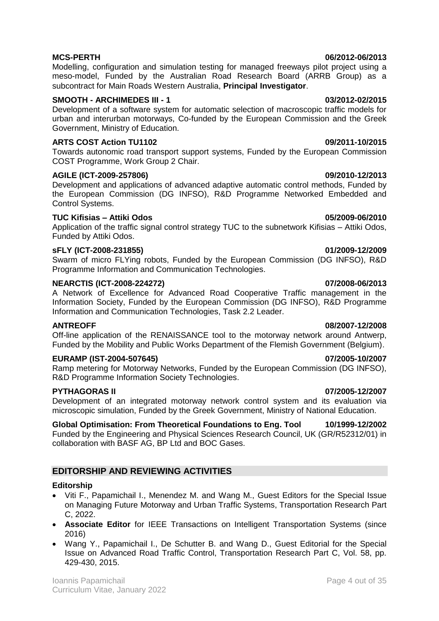Modelling, configuration and simulation testing for managed freeways pilot project using a meso-model, Funded by the Australian Road Research Board (ARRB Group) as a subcontract for Main Roads Western Australia, **Principal Investigator**.

# **SMOOTH - ARCHIMEDES III - 1 03/2012-02/2015**

Development of a software system for automatic selection of macroscopic traffic models for urban and interurban motorways, Co-funded by the European Commission and the Greek Government, Ministry of Education.

# **ARTS COST Action TU1102 09/2011-10/2015**

Towards autonomic road transport support systems, Funded by the European Commission COST Programme, Work Group 2 Chair.

# **AGILE (ICT-2009-257806) 09/2010-12/2013**

Development and applications of advanced adaptive automatic control methods, Funded by the European Commission (DG INFSO), R&D Programme Networked Embedded and Control Systems.

# **TUC Kifisias – Attiki Odos 05/2009-06/2010**

Application of the traffic signal control strategy TUC to the subnetwork Kifisias – Attiki Odos, Funded by Attiki Odos.

# **sFLY (ICT-2008-231855) 01/2009-12/2009**

Swarm of micro FLYing robots, Funded by the European Commission (DG INFSO), R&D Programme Information and Communication Technologies.

# **NEARCTIS (ICT-2008-224272) 07/2008-06/2013**

A Network of Excellence for Advanced Road Cooperative Traffic management in the Information Society, Funded by the European Commission (DG INFSO), R&D Programme Information and Communication Technologies, Task 2.2 Leader.

### **ANTREOFF 08/2007-12/2008**

Off-line application of the RENAISSANCE tool to the motorway network around Antwerp, Funded by the Mobility and Public Works Department of the Flemish Government (Belgium).

### **EURAMP (IST-2004-507645) 07/2005-10/2007**

Ramp metering for Motorway Networks, Funded by the European Commission (DG INFSO), R&D Programme Information Society Technologies.

# **PYTHAGORAS II 07/2005-12/2007**

Development of an integrated motorway network control system and its evaluation via microscopic simulation, Funded by the Greek Government, Ministry of National Education.

**Global Optimisation: From Theoretical Foundations to Eng. Tool 10/1999-12/2002** Funded by the Engineering and Physical Sciences Research Council, UK (GR/R52312/01) in collaboration with BASF AG, BP Ltd and BOC Gases.

# **EDITORSHIP AND REVIEWING ACTIVITIES**

# **Editorship**

- Viti F., Papamichail I., Menendez M. and Wang M., Guest Editors for the Special Issue on Managing Future Motorway and Urban Traffic Systems, Transportation Research Part C, 2022.
- **Associate Editor** for IEEE Transactions on Intelligent Transportation Systems (since 2016)
- Wang Y., Papamichail I., De Schutter B. and Wang D., Guest Editorial for the Special Issue on Advanced Road Traffic Control, Transportation Research Part C, Vol. 58, pp. 429-430, 2015.

#### **MCS-PERTH 06/2012-06/2013**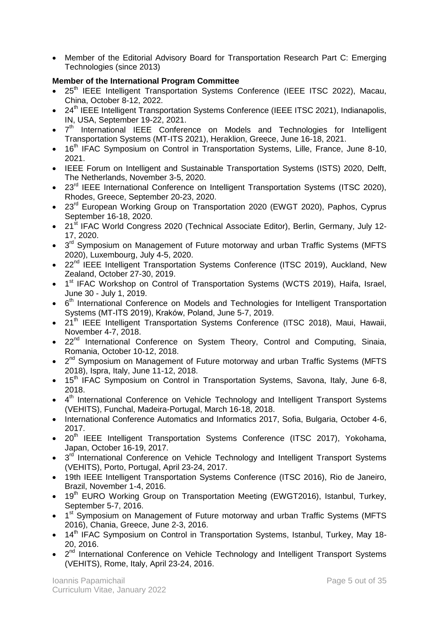Member of the Editorial Advisory Board for Transportation Research Part C: Emerging Technologies (since 2013)

# **Member of the International Program Committee**

- 25<sup>th</sup> IEEE Intelligent Transportation Systems Conference (IEEE ITSC 2022), Macau, China, October 8-12, 2022.
- 24<sup>th</sup> IEEE Intelligent Transportation Systems Conference (IEEE ITSC 2021), Indianapolis, IN, USA, September 19-22, 2021.
- 7<sup>th</sup> International IEEE Conference on Models and Technologies for Intelligent Transportation Systems (MT-ITS 2021), Heraklion, Greece, June 16-18, 2021.
- 16<sup>th</sup> IFAC Symposium on Control in Transportation Systems, Lille, France, June 8-10, 2021.
- IEEE Forum on Intelligent and Sustainable Transportation Systems (ISTS) 2020, Delft, The Netherlands, November 3-5, 2020.
- 23<sup>rd</sup> IEEE International Conference on Intelligent Transportation Systems (ITSC 2020), Rhodes, Greece, September 20-23, 2020.
- 23<sup>rd</sup> European Working Group on Transportation 2020 (EWGT 2020), Paphos, Cyprus September 16-18, 2020.
- 21<sup>st</sup> IFAC World Congress 2020 (Technical Associate Editor), Berlin, Germany, July 12-17, 2020.
- $\bullet$  3<sup>rd</sup> Symposium on Management of Future motorway and urban Traffic Systems (MFTS 2020), Luxembourg, July 4-5, 2020.
- 22<sup>nd</sup> IEEE Intelligent Transportation Systems Conference (ITSC 2019), Auckland, New Zealand, October 27-30, 2019.
- 1<sup>st</sup> IFAC Workshop on Control of Transportation Systems (WCTS 2019), Haifa, Israel, June 30 - July 1, 2019.
- 6<sup>th</sup> International Conference on Models and Technologies for Intelligent Transportation Systems (MT-ITS 2019), Kraków, Poland, June 5-7, 2019.
- 21<sup>th</sup> IEEE Intelligent Transportation Systems Conference (ITSC 2018), Maui, Hawaii, November 4-7, 2018.
- 22<sup>nd</sup> International Conference on System Theory, Control and Computing, Sinaia, Romania, October 10-12, 2018.
- $\bullet$  2<sup>nd</sup> Symposium on Management of Future motorway and urban Traffic Systems (MFTS 2018), Ispra, Italy, June 11-12, 2018.
- 15<sup>th</sup> IFAC Symposium on Control in Transportation Systems, Savona, Italy, June 6-8, 2018.
- 4<sup>th</sup> International Conference on Vehicle Technology and Intelligent Transport Systems (VEHITS), Funchal, Madeira-Portugal, March 16-18, 2018.
- International Conference Automatics and Informatics 2017, Sofia, Bulgaria, October 4-6, 2017.
- 20<sup>th</sup> IEEE Intelligent Transportation Systems Conference (ITSC 2017), Yokohama, Japan, October 16-19, 2017.
- $\bullet$  3<sup>rd</sup> International Conference on Vehicle Technology and Intelligent Transport Systems (VEHITS), Porto, Portugal, April 23-24, 2017.
- 19th IEEE Intelligent Transportation Systems Conference (ITSC 2016), Rio de Janeiro, Brazil, November 1-4, 2016.
- 19<sup>th</sup> EURO Working Group on Transportation Meeting (EWGT2016), Istanbul, Turkey, September 5-7, 2016.
- 1<sup>st</sup> Symposium on Management of Future motorway and urban Traffic Systems (MFTS 2016), Chania, Greece, June 2-3, 2016.
- 14<sup>th</sup> IFAC Symposium on Control in Transportation Systems, Istanbul, Turkey, May 18-20, 2016.
- $\bullet$   $2^{nd}$  International Conference on Vehicle Technology and Intelligent Transport Systems (VEHITS), Rome, Italy, April 23-24, 2016.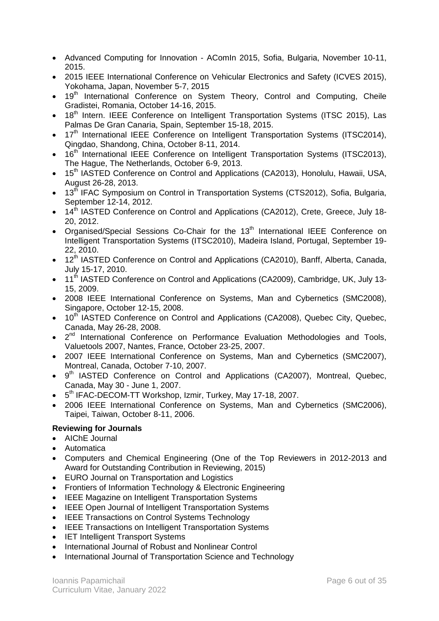- Advanced Computing for Innovation AComIn 2015, Sofia, Bulgaria, November 10-11, 2015.
- 2015 IEEE International Conference on Vehicular Electronics and Safety (ICVES 2015), Yokohama, Japan, November 5-7, 2015
- 19<sup>th</sup> International Conference on System Theory, Control and Computing, Cheile Gradistei, Romania, October 14-16, 2015.
- 18<sup>th</sup> Intern. IEEE Conference on Intelligent Transportation Systems (ITSC 2015), Las Palmas De Gran Canaria, Spain, September 15-18, 2015.
- $17<sup>th</sup>$  International IEEE Conference on Intelligent Transportation Systems (ITSC2014), Qingdao, Shandong, China, October 8-11, 2014.
- 16<sup>th</sup> International IEEE Conference on Intelligent Transportation Systems (ITSC2013), The Hague, The Netherlands, October 6-9, 2013.
- 15<sup>th</sup> IASTED Conference on Control and Applications (CA2013), Honolulu, Hawaii, USA, August 26-28, 2013.
- 13<sup>th</sup> IFAC Symposium on Control in Transportation Systems (CTS2012), Sofia, Bulgaria, September 12-14, 2012.
- 14<sup>th</sup> IASTED Conference on Control and Applications (CA2012), Crete, Greece, July 18-20, 2012.
- Organised/Special Sessions Co-Chair for the 13<sup>th</sup> International IEEE Conference on Intelligent Transportation Systems (ITSC2010), Madeira Island, Portugal, September 19- 22, 2010.
- 12<sup>th</sup> IASTED Conference on Control and Applications (CA2010), Banff, Alberta, Canada, July 15-17, 2010.
- 11<sup>th</sup> IASTED Conference on Control and Applications (CA2009), Cambridge, UK, July 13-15, 2009.
- 2008 IEEE International Conference on Systems, Man and Cybernetics (SMC2008), Singapore, October 12-15, 2008.
- 10<sup>th</sup> IASTED Conference on Control and Applications (CA2008), Quebec City, Quebec, Canada, May 26-28, 2008.
- $\bullet$   $2^{nd}$  International Conference on Performance Evaluation Methodologies and Tools, Valuetools 2007, Nantes, France, October 23-25, 2007.
- 2007 IEEE International Conference on Systems, Man and Cybernetics (SMC2007), Montreal, Canada, October 7-10, 2007.
- 9<sup>th</sup> IASTED Conference on Control and Applications (CA2007), Montreal, Quebec, Canada, May 30 - June 1, 2007.
- 5<sup>th</sup> IFAC-DECOM-TT Workshop, Izmir, Turkey, May 17-18, 2007.
- 2006 IEEE International Conference on Systems, Man and Cybernetics (SMC2006), Taipei, Taiwan, October 8-11, 2006.

# **Reviewing for Journals**

- AIChE Journal
- Automatica
- Computers and Chemical Engineering (One of the Top Reviewers in 2012-2013 and Award for Outstanding Contribution in Reviewing, 2015)
- EURO Journal on Transportation and Logistics
- Frontiers of Information Technology & Electronic Engineering
- IEEE Magazine on Intelligent Transportation Systems
- IEEE Open Journal of Intelligent Transportation Systems
- IEEE Transactions on Control Systems Technology
- IEEE Transactions on Intelligent Transportation Systems
- IET Intelligent Transport Systems
- International Journal of Robust and Nonlinear Control
- International Journal of Transportation Science and Technology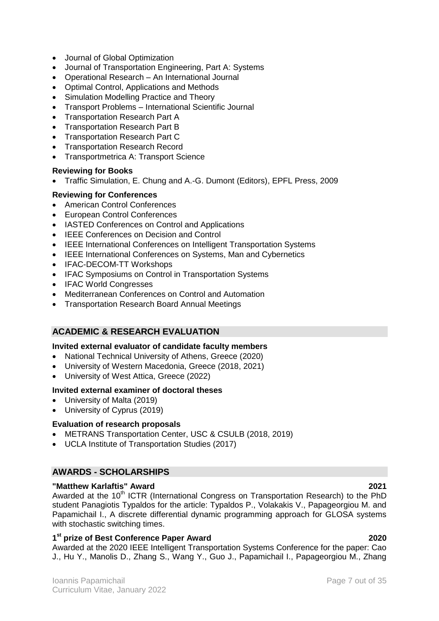- Journal of Global Optimization
- Journal of Transportation Engineering, Part A: Systems
- Operational Research An International Journal
- Optimal Control, Applications and Methods
- Simulation Modelling Practice and Theory
- Transport Problems International Scientific Journal
- Transportation Research Part A
- Transportation Research Part B
- Transportation Research Part C
- Transportation Research Record
- Transportmetrica A: Transport Science

# **Reviewing for Books**

Traffic Simulation, E. Chung and A.-G. Dumont (Editors), EPFL Press, 2009

# **Reviewing for Conferences**

- American Control Conferences
- European Control Conferences
- IASTED Conferences on Control and Applications
- **IFFE Conferences on Decision and Control**
- IEEE International Conferences on Intelligent Transportation Systems
- IEEE International Conferences on Systems, Man and Cybernetics
- IFAC-DECOM-TT Workshops
- IFAC Symposiums on Control in Transportation Systems
- IFAC World Congresses
- Mediterranean Conferences on Control and Automation
- Transportation Research Board Annual Meetings

# **ACADEMIC & RESEARCH EVALUATION**

### **Invited external evaluator of candidate faculty members**

- National Technical University of Athens, Greece (2020)
- University of Western Macedonia, Greece (2018, 2021)
- University of West Attica, Greece (2022)

### **Invited external examiner of doctoral theses**

- University of Malta (2019)
- University of Cyprus (2019)

### **Evaluation of research proposals**

- METRANS Transportation Center, USC & CSULB (2018, 2019)
- UCLA Institute of Transportation Studies (2017)

# **AWARDS - SCHOLARSHIPS**

### **"Matthew Karlaftis" Award 2021**

Awarded at the 10<sup>th</sup> ICTR (International Congress on Transportation Research) to the PhD student Panagiotis Typaldos for the article: Typaldos P., Volakakis V., Papageorgiou M. and Papamichail I., A discrete differential dynamic programming approach for GLOSA systems with stochastic switching times.

# **1 st prize of Best Conference Paper Award 2020**

Awarded at the 2020 IEEE Intelligent Transportation Systems Conference for the paper: Cao J., Hu Y., Manolis D., Zhang S., Wang Y., Guo J., Papamichail I., Papageorgiou M., Zhang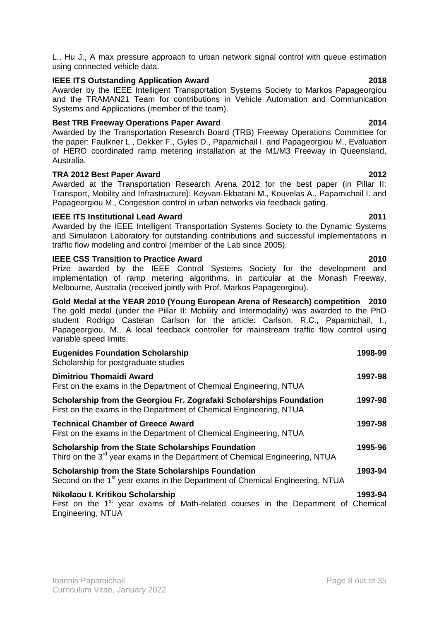L., Hu J., A max pressure approach to urban network signal control with queue estimation using connected vehicle data.

# **IEEE ITS Outstanding Application Award 2018**

Awarder by the IEEE Intelligent Transportation Systems Society to Markos Papageorgiou and the TRAMAN21 Team for contributions in Vehicle Automation and Communication Systems and Applications (member of the team).

# **Best TRB Freeway Operations Paper Award 2014**

Awarded by the Transportation Research Board (TRB) Freeway Operations Committee for the paper: Faulkner L., Dekker F., Gyles D., Papamichail I. and Papageorgiou M., Evaluation of HERO coordinated ramp metering installation at the M1/M3 Freeway in Queensland, Australia.

# **TRA 2012 Best Paper Award 2012**

Awarded at the Transportation Research Arena 2012 for the best paper (in Pillar II: Transport, Mobility and Infrastructure): Keyvan-Ekbatani M., Kouvelas A., Papamichail I. and Papageorgiou M., Congestion control in urban networks via feedback gating.

# **IEEE ITS Institutional Lead Award 2011**

Awarded by the IEEE Intelligent Transportation Systems Society to the Dynamic Systems and Simulation Laboratory for outstanding contributions and successful implementations in traffic flow modeling and control (member of the Lab since 2005).

# **IEEE CSS Transition to Practice Award 2010**

Prize awarded by the IEEE Control Systems Society for the development and implementation of ramp metering algorithms, in particular at the Monash Freeway, Melbourne, Australia (received jointly with Prof. Markos Papageorgiou).

**Gold Medal at the YEAR 2010 (Young European Arena of Research) competition 2010** The gold medal (under the Pillar II: Mobility and Intermodality) was awarded to the PhD student Rodrigo Castelan Carlson for the article: Carlson, R.C., Papamichail, I., Papageorgiou, M., A local feedback controller for mainstream traffic flow control using variable speed limits.

| <b>Eugenides Foundation Scholarship</b><br>Scholarship for postgraduate studies                                                                        | 1998-99 |
|--------------------------------------------------------------------------------------------------------------------------------------------------------|---------|
| Dimitriou Thomaidi Award<br>First on the exams in the Department of Chemical Engineering, NTUA                                                         | 1997-98 |
| Scholarship from the Georgiou Fr. Zografaki Scholarships Foundation<br>First on the exams in the Department of Chemical Engineering, NTUA              | 1997-98 |
| <b>Technical Chamber of Greece Award</b><br>First on the exams in the Department of Chemical Engineering, NTUA                                         |         |
| <b>Scholarship from the State Scholarships Foundation</b><br>Third on the 3 <sup>rd</sup> year exams in the Department of Chemical Engineering, NTUA   | 1995-96 |
| <b>Scholarship from the State Scholarships Foundation</b><br>Second on the 1 <sup>st</sup> year exams in the Department of Chemical Engineering, NTUA  | 1993-94 |
| Nikolaou I. Kritikou Scholarship<br>First on the 1 <sup>st</sup> year exams of Math-related courses in the Department of Chemical<br>Engineering, NTUA | 1993-94 |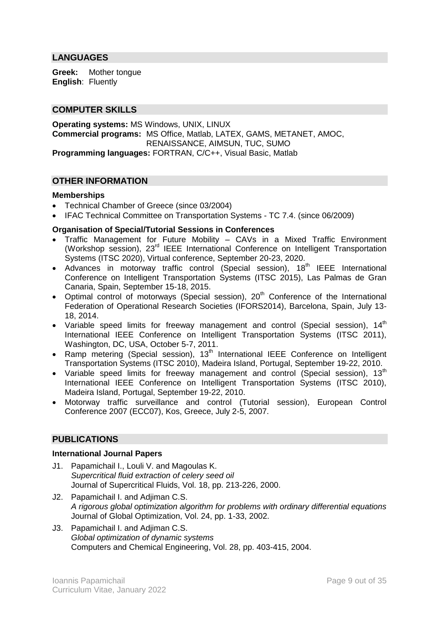# **LANGUAGES**

**Greek:** Mother tongue **English**: Fluently

### **COMPUTER SKILLS**

**Operating systems:** MS Windows, UNIX, LINUX **Commercial programs:** MS Office, Matlab, LATEX, GAMS, METANET, AMOC, RENAISSANCE, AIMSUN, TUC, SUMO **Programming languages:** FORTRAN, C/C++, Visual Basic, Matlab

### **OTHER INFORMATION**

#### **Memberships**

- Technical Chamber of Greece (since 03/2004)
- IFAC Technical Committee on Transportation Systems TC 7.4. (since 06/2009)

#### **Organisation of Special/Tutorial Sessions in Conferences**

- Traffic Management for Future Mobility CAVs in a Mixed Traffic Environment (Workshop session), 23rd IEEE International Conference on Intelligent Transportation Systems (ITSC 2020), Virtual conference, September 20-23, 2020.
- Advances in motorway traffic control (Special session),  $18<sup>th</sup>$  IEEE International Conference on Intelligent Transportation Systems (ITSC 2015), Las Palmas de Gran Canaria, Spain, September 15-18, 2015.
- Optimal control of motorways (Special session),  $20<sup>th</sup>$  Conference of the International Federation of Operational Research Societies (IFORS2014), Barcelona, Spain, July 13- 18, 2014.
- Variable speed limits for freeway management and control (Special session),  $14<sup>th</sup>$ International IEEE Conference on Intelligent Transportation Systems (ITSC 2011), Washington, DC, USA, October 5-7, 2011.
- Ramp metering (Special session),  $13<sup>th</sup>$  International IEEE Conference on Intelligent Transportation Systems (ITSC 2010), Madeira Island, Portugal, September 19-22, 2010.
- Variable speed limits for freeway management and control (Special session),  $13<sup>th</sup>$ International IEEE Conference on Intelligent Transportation Systems (ITSC 2010), Madeira Island, Portugal, September 19-22, 2010.
- Motorway traffic surveillance and control (Tutorial session), European Control Conference 2007 (ECC07), Kos, Greece, July 2-5, 2007.

### **PUBLICATIONS**

#### **International Journal Papers**

- J1. Papamichail I., Louli V. and Magoulas K. *Supercritical fluid extraction of celery seed oil* Journal of Supercritical Fluids, Vol. 18, pp. 213-226, 2000.
- J2. Papamichail I. and Adjiman C.S. *A rigorous global optimization algorithm for problems with ordinary differential equations* Journal of Global Optimization, Vol. 24, pp. 1-33, 2002.
- J3. Papamichail I. and Adjiman C.S. *Global optimization of dynamic systems* Computers and Chemical Engineering, Vol. 28, pp. 403-415, 2004.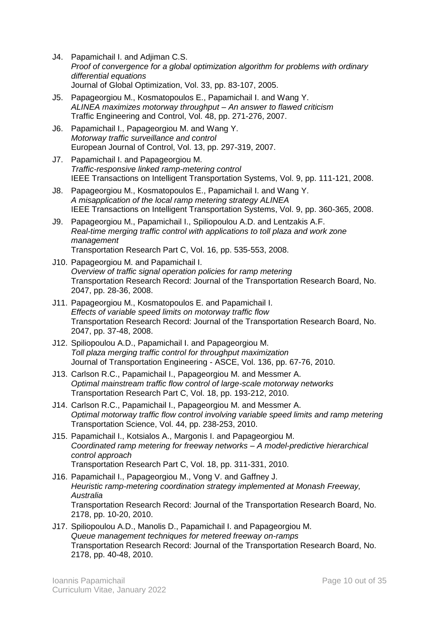- J4. Papamichail I. and Adjiman C.S. *Proof of convergence for a global optimization algorithm for problems with ordinary differential equations* Journal of Global Optimization, Vol. 33, pp. 83-107, 2005.
- J5. Papageorgiou M., Kosmatopoulos E., Papamichail I. and Wang Y. *ALINEA maximizes motorway throughput – An answer to flawed criticism* Traffic Engineering and Control, Vol. 48, pp. 271-276, 2007.
- J6. Papamichail I., Papageorgiou M. and Wang Y. *Motorway traffic surveillance and control* European Journal of Control, Vol. 13, pp. 297-319, 2007.
- J7. Papamichail I. and Papageorgiou M. *Traffic-responsive linked ramp-metering control* IEEE Transactions on Intelligent Transportation Systems, Vol. 9, pp. 111-121, 2008.
- J8. Papageorgiou M., Kosmatopoulos E., Papamichail I. and Wang Y. *A misapplication of the local ramp metering strategy ALINEA* IEEE Transactions on Intelligent Transportation Systems, Vol. 9, pp. 360-365, 2008.
- J9. Papageorgiou M., Papamichail I., Spiliopoulou A.D. and Lentzakis A.F. *Real-time merging traffic control with applications to toll plaza and work zone management* Transportation Research Part C, Vol. 16, pp. 535-553, 2008.
- J10. Papageorgiou M. and Papamichail I. *Overview of traffic signal operation policies for ramp metering* Transportation Research Record: Journal of the Transportation Research Board, No. 2047, pp. 28-36, 2008.
- J11. Papageorgiou M., Kosmatopoulos E. and Papamichail I. *Effects of variable speed limits on motorway traffic flow* Transportation Research Record: Journal of the Transportation Research Board, No. 2047, pp. 37-48, 2008.
- J12. Spiliopoulou A.D., Papamichail I. and Papageorgiou M. *Toll plaza merging traffic control for throughput maximization* Journal of Transportation Engineering - ASCE, Vol. 136, pp. 67-76, 2010.
- J13. Carlson R.C., Papamichail I., Papageorgiou M. and Messmer A. *Optimal mainstream traffic flow control of large-scale motorway networks* Transportation Research Part C, Vol. 18, pp. 193-212, 2010.
- J14. Carlson R.C., Papamichail I., Papageorgiou M. and Messmer A. *Optimal motorway traffic flow control involving variable speed limits and ramp metering* Transportation Science, Vol. 44, pp. 238-253, 2010.
- J15. Papamichail I., Kotsialos A., Margonis I. and Papageorgiou M. *Coordinated ramp metering for freeway networks – A model-predictive hierarchical control approach* Transportation Research Part C, Vol. 18, pp. 311-331, 2010.
- J16. Papamichail I., Papageorgiou M., Vong V. and Gaffney J. *Heuristic ramp-metering coordination strategy implemented at Monash Freeway, Australia* Transportation Research Record: Journal of the Transportation Research Board, No. 2178, pp. 10-20, 2010.
- J17. Spiliopoulou A.D., Manolis D., Papamichail I. and Papageorgiou M. *Queue management techniques for metered freeway on-ramps* Transportation Research Record: Journal of the Transportation Research Board, No. 2178, pp. 40-48, 2010.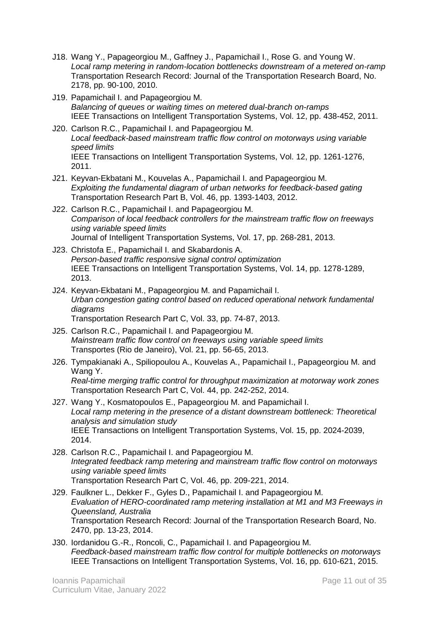- J18. Wang Y., Papageorgiou M., Gaffney J., Papamichail I., Rose G. and Young W. *Local ramp metering in random-location bottlenecks downstream of a metered on-ramp* Transportation Research Record: Journal of the Transportation Research Board, No. 2178, pp. 90-100, 2010.
- J19. Papamichail I. and Papageorgiou M. *Balancing of queues or waiting times on metered dual-branch on-ramps* IEEE Transactions on Intelligent Transportation Systems, Vol. 12, pp. 438-452, 2011.
- J20. Carlson R.C., Papamichail I. and Papageorgiou M. *Local feedback-based mainstream traffic flow control on motorways using variable speed limits* IEEE Transactions on Intelligent Transportation Systems, Vol. 12, pp. 1261-1276, 2011.
- J21. Keyvan-Ekbatani M., Kouvelas A., Papamichail I. and Papageorgiou M. *Exploiting the fundamental diagram of urban networks for feedback-based gating* Transportation Research Part B, Vol. 46, pp. 1393-1403, 2012.
- J22. Carlson R.C., Papamichail I. and Papageorgiou M. *Comparison of local feedback controllers for the mainstream traffic flow on freeways using variable speed limits* Journal of Intelligent Transportation Systems, Vol. 17, pp. 268-281, 2013.
- J23. Christofa E., Papamichail I. and Skabardonis A. *Person-based traffic responsive signal control optimization* IEEE Transactions on Intelligent Transportation Systems, Vol. 14, pp. 1278-1289, 2013.
- J24. Keyvan-Ekbatani M., Papageorgiou M. and Papamichail I. *Urban congestion gating control based on reduced operational network fundamental diagrams* Transportation Research Part C, Vol. 33, pp. 74-87, 2013.
- J25. Carlson R.C., Papamichail I. and Papageorgiou M. *Mainstream traffic flow control on freeways using variable speed limits* Transportes (Rio de Janeiro), Vol. 21, pp. 56-65, 2013.
- J26. Tympakianaki A., Spiliopoulou A., Kouvelas A., Papamichail I., Papageorgiou M. and Wang Y. *Real-time merging traffic control for throughput maximization at motorway work zones* Transportation Research Part C, Vol. 44, pp. 242-252, 2014.
- J27. Wang Y., Kosmatopoulos E., Papageorgiou M. and Papamichail I. Local ramp metering in the presence of a distant downstream bottleneck: Theoretical *analysis and simulation study* IEEE Transactions on Intelligent Transportation Systems, Vol. 15, pp. 2024-2039, 2014.
- J28. Carlson R.C., Papamichail I. and Papageorgiou M. *Integrated feedback ramp metering and mainstream traffic flow control on motorways using variable speed limits* Transportation Research Part C, Vol. 46, pp. 209-221, 2014.
- J29. Faulkner L., Dekker F., Gyles D., Papamichail I. and Papageorgiou M. *Evaluation of HERO-coordinated ramp metering installation at M1 and M3 Freeways in Queensland, Australia* Transportation Research Record: Journal of the Transportation Research Board, No. 2470, pp. 13-23, 2014.
- J30. Iordanidou G.-R., Roncoli, C., Papamichail I. and Papageorgiou M. *Feedback-based mainstream traffic flow control for multiple bottlenecks on motorways* IEEE Transactions on Intelligent Transportation Systems, Vol. 16, pp. 610-621, 2015.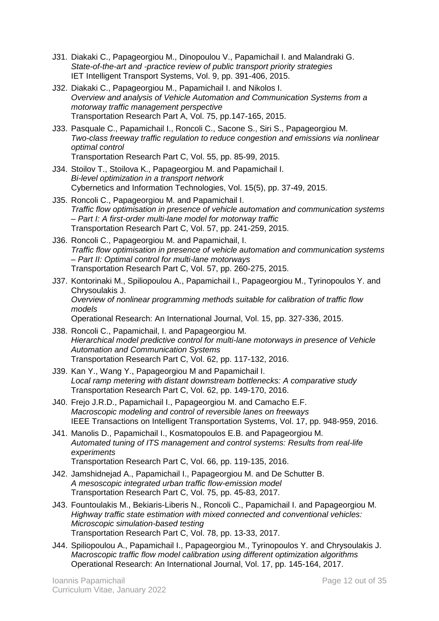- J31. Diakaki C., Papageorgiou M., Dinopoulou V., Papamichail I. and Malandraki G. *State-of-the-art and -practice review of public transport priority strategies* IET Intelligent Transport Systems, Vol. 9, pp. 391-406, 2015.
- J32. Diakaki C., Papageorgiou M., Papamichail I. and Nikolos I. *Overview and analysis of Vehicle Automation and Communication Systems from a motorway traffic management perspective* Transportation Research Part A, Vol. 75, pp.147-165, 2015.
- J33. Pasquale C., Papamichail I., Roncoli C., Sacone S., Siri S., Papageorgiou M. *Two-class freeway traffic regulation to reduce congestion and emissions via nonlinear optimal control* Transportation Research Part C, Vol. 55, pp. 85-99, 2015.
- J34. Stoilov T., Stoilova K., Papageorgiou M. and Papamichail I. *Bi-level optimization in a transport network* Cybernetics and Information Technologies, Vol. 15(5), pp. 37-49, 2015.
- J35. Roncoli C., Papageorgiou M. and Papamichail I. *Traffic flow optimisation in presence of vehicle automation and communication systems – Part I: A first-order multi-lane model for motorway traffic* Transportation Research Part C, Vol. 57, pp. 241-259, 2015.
- J36. Roncoli C., Papageorgiou M. and Papamichail, I. *Traffic flow optimisation in presence of vehicle automation and communication systems – Part II: Optimal control for multi-lane motorways* Transportation Research Part C, Vol. 57, pp. 260-275, 2015.
- J37. Kontorinaki M., Spiliopoulou A., Papamichail I., Papageorgiou M., Tyrinopoulos Y. and Chrysoulakis J. *Overview of nonlinear programming methods suitable for calibration of traffic flow models* Operational Research: An International Journal, Vol. 15, pp. 327-336, 2015.
- J38. Roncoli C., Papamichail, I. and Papageorgiou M. *Hierarchical model predictive control for multi-lane motorways in presence of Vehicle Automation and Communication Systems* Transportation Research Part C, Vol. 62, pp. 117-132, 2016.
- J39. Kan Y., Wang Y., Papageorgiou M and Papamichail I. *Local ramp metering with distant downstream bottlenecks: A comparative study* Transportation Research Part C, Vol. 62, pp. 149-170, 2016.
- J40. Frejo J.R.D., Papamichail I., Papageorgiou M. and Camacho E.F. *Macroscopic modeling and control of reversible lanes on freeways* IEEE Transactions on Intelligent Transportation Systems, Vol. 17, pp. 948-959, 2016.
- J41. Manolis D., Papamichail I., Kosmatopoulos E.B. and Papageorgiou M. *Automated tuning of ITS management and control systems: Results from real-life experiments* Transportation Research Part C, Vol. 66, pp. 119-135, 2016.
- J42. Jamshidnejad A., Papamichail I., Papageorgiou M. and De Schutter B. *A mesoscopic integrated urban traffic flow-emission model* Transportation Research Part C, Vol. 75, pp. 45-83, 2017.
- J43. Fountoulakis M., Bekiaris-Liberis N., Roncoli C., Papamichail I. and Papageorgiou M. *Highway traffic state estimation with mixed connected and conventional vehicles: Microscopic simulation-based testing* Transportation Research Part C, Vol. 78, pp. 13-33, 2017.
- J44. Spiliopoulou A., Papamichail I., Papageorgiou M., Tyrinopoulos Y. and Chrysoulakis J. *Macroscopic traffic flow model calibration using different optimization algorithms* Operational Research: An International Journal, Vol. 17, pp. 145-164, 2017.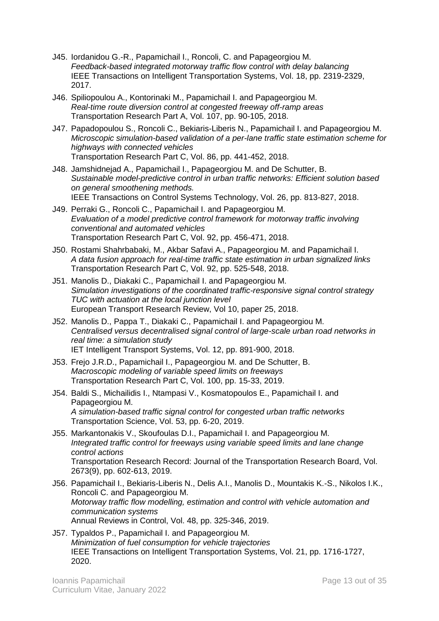- J45. Iordanidou G.-R., Papamichail I., Roncoli, C. and Papageorgiou M. *Feedback-based integrated motorway traffic flow control with delay balancing* IEEE Transactions on Intelligent Transportation Systems, Vol. 18, pp. 2319-2329, 2017.
- J46. Spiliopoulou A., Kontorinaki M., Papamichail I. and Papageorgiou M. *Real-time route diversion control at congested freeway off-ramp areas* Transportation Research Part A, Vol. 107, pp. 90-105, 2018.
- J47. Papadopoulou S., Roncoli C., Bekiaris-Liberis N., Papamichail I. and Papageorgiou M. *Microscopic simulation-based validation of a per-lane traffic state estimation scheme for highways with connected vehicles* Transportation Research Part C, Vol. 86, pp. 441-452, 2018.
- J48. Jamshidnejad A., Papamichail I., Papageorgiou M. and De Schutter, B. *Sustainable model-predictive control in urban traffic networks: Efficient solution based on general smoothening methods.*  IEEE Transactions on Control Systems Technology, Vol. 26, pp. 813-827, 2018.
- J49. Perraki G., Roncoli C., Papamichail I. and Papageorgiou M. *Evaluation of a model predictive control framework for motorway traffic involving conventional and automated vehicles* Transportation Research Part C, Vol. 92, pp. 456-471, 2018.
- J50. Rostami Shahrbabaki, M., Akbar Safavi A., Papageorgiou M. and Papamichail I. *A data fusion approach for real-time traffic state estimation in urban signalized links* Transportation Research Part C, Vol. 92, pp. 525-548, 2018.
- J51. Manolis D., Diakaki C., Papamichail I. and Papageorgiou M. *Simulation investigations of the coordinated traffic-responsive signal control strategy TUC with actuation at the local junction level* European Transport Research Review, Vol 10, paper 25, 2018.
- J52. Manolis D., Pappa T., Diakaki C., Papamichail I. and Papageorgiou M. *Centralised versus decentralised signal control of large-scale urban road networks in real time: a simulation study* IET Intelligent Transport Systems, Vol. 12, pp. 891-900, 2018.
- J53. Frejo J.R.D., Papamichail I., Papageorgiou M. and De Schutter, B. *Macroscopic modeling of variable speed limits on freeways* Transportation Research Part C, Vol. 100, pp. 15-33, 2019.
- J54. Baldi S., Michailidis I., Ntampasi V., Kosmatopoulos E., Papamichail I. and Papageorgiou M. *A simulation-based traffic signal control for congested urban traffic networks* Transportation Science, Vol. 53, pp. 6-20, 2019.
- J55. Markantonakis V., Skoufoulas D.I., Papamichail I. and Papageorgiou M. *Integrated traffic control for freeways using variable speed limits and lane change control actions* Transportation Research Record: Journal of the Transportation Research Board, Vol. 2673(9), pp. 602-613, 2019.
- J56. Papamichail I., Bekiaris-Liberis N., Delis A.I., Manolis D., Mountakis K.-S., Nikolos I.K., Roncoli C. and Papageorgiou M. *Motorway traffic flow modelling, estimation and control with vehicle automation and communication systems* Annual Reviews in Control, Vol. 48, pp. 325-346, 2019.
- J57. Typaldos P., Papamichail I. and Papageorgiou M. *Minimization of fuel consumption for vehicle trajectories* IEEE Transactions on Intelligent Transportation Systems, Vol. 21, pp. 1716-1727, 2020.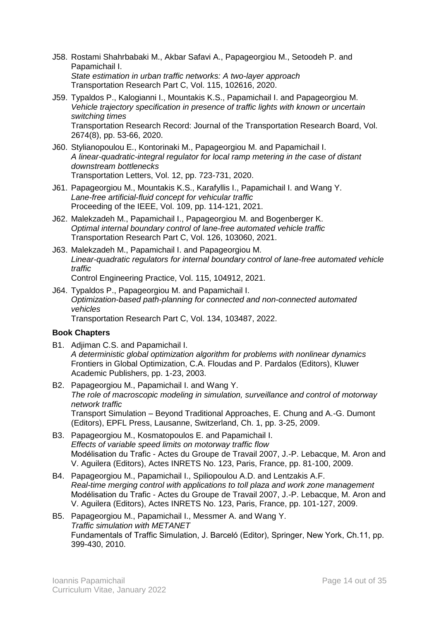- J58. Rostami Shahrbabaki M., Akbar Safavi A., Papageorgiou M., Setoodeh P. and Papamichail I. *State estimation in urban traffic networks: A two-layer approach* Transportation Research Part C, Vol. 115, 102616, 2020.
- J59. Typaldos P., Kalogianni I., Mountakis K.S., Papamichail I. and Papageorgiou M. *Vehicle trajectory specification in presence of traffic lights with known or uncertain switching times* Transportation Research Record: Journal of the Transportation Research Board, Vol. 2674(8), pp. 53-66, 2020.
- J60. Stylianopoulou E., Kontorinaki M., Papageorgiou M. and Papamichail I. *A linear-quadratic-integral regulator for local ramp metering in the case of distant downstream bottlenecks* Transportation Letters, Vol. 12, pp. 723-731, 2020.
- J61. Papageorgiou M., Mountakis K.S., Karafyllis I., Papamichail I. and Wang Y. *Lane-free artificial-fluid concept for vehicular traffic* Proceeding of the IEEE, Vol. 109, pp. 114-121, 2021.
- J62. Malekzadeh M., Papamichail I., Papageorgiou M. and Bogenberger K. *Optimal internal boundary control of lane-free automated vehicle traffic* Transportation Research Part C, Vol. 126, 103060, 2021.
- J63. Malekzadeh M., Papamichail I. and Papageorgiou M. *Linear-quadratic regulators for internal boundary control of lane-free automated vehicle traffic*
	- Control Engineering Practice, Vol. 115, 104912, 2021.
- J64. Typaldos P., Papageorgiou M. and Papamichail I. *Optimization-based path-planning for connected and non-connected automated vehicles* Transportation Research Part C, Vol. 134, 103487, 2022.

### **Book Chapters**

- B1. Adjiman C.S. and Papamichail I. *A deterministic global optimization algorithm for problems with nonlinear dynamics* Frontiers in Global Optimization, C.A. Floudas and P. Pardalos (Editors), Kluwer Academic Publishers, pp. 1-23, 2003.
- B2. Papageorgiou M., Papamichail I. and Wang Y. *The role of macroscopic modeling in simulation, surveillance and control of motorway network traffic* Transport Simulation – Beyond Traditional Approaches, E. Chung and A.-G. Dumont (Editors), EPFL Press, Lausanne, Switzerland, Ch. 1, pp. 3-25, 2009.
- B3. Papageorgiou M., Kosmatopoulos E. and Papamichail I. *Effects of variable speed limits on motorway traffic flow* Modélisation du Trafic - Actes du Groupe de Travail 2007, J.-P. Lebacque, M. Aron and V. Aguilera (Editors), Actes INRETS No. 123, Paris, France, pp. 81-100, 2009.
- B4. Papageorgiou M., Papamichail I., Spiliopoulou A.D. and Lentzakis A.F. *Real-time merging control with applications to toll plaza and work zone management* Modélisation du Trafic - Actes du Groupe de Travail 2007, J.-P. Lebacque, M. Aron and V. Aguilera (Editors), Actes INRETS No. 123, Paris, France, pp. 101-127, 2009.
- B5. Papageorgiou M., Papamichail I., Messmer A. and Wang Y. *Traffic simulation with METANET* Fundamentals of Traffic Simulation, J. Barceló (Editor), Springer, New York, Ch.11, pp. 399-430, 2010.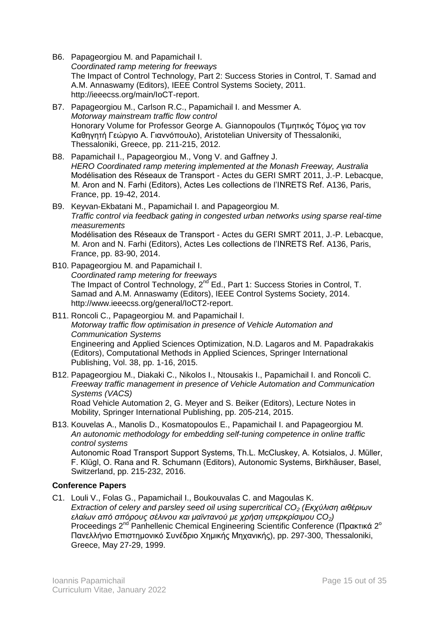- B6. Papageorgiou M. and Papamichail I. *Coordinated ramp metering for freeways* The Impact of Control Technology, Part 2: Success Stories in Control, T. Samad and A.M. Annaswamy (Editors), IEEE Control Systems Society, 2011. http://ieeecss.org/main/IoCT-report.
- B7. Papageorgiou M., Carlson R.C., Papamichail I. and Messmer A. *Motorway mainstream traffic flow control* Honorary Volume for Professor George A. Giannopoulos (Τιμητικός Τόμος για τον Καθηγητή Γεώργιο Α. Γιαννόπουλο), Aristotelian University of Thessaloniki, Thessaloniki, Greece, pp. 211-215, 2012.
- B8. Papamichail I., Papageorgiou M., Vong V. and Gaffney J. *HERO Coordinated ramp metering implemented at the Monash Freeway, Australia* Modélisation des Réseaux de Transport - Actes du GERI SMRT 2011, J.-P. Lebacque, M. Aron and N. Farhi (Editors), Actes Les collections de l'INRETS Ref. A136, Paris, France, pp. 19-42, 2014.
- B9. Keyvan-Ekbatani M., Papamichail I. and Papageorgiou M. *Traffic control via feedback gating in congested urban networks using sparse real-time measurements* Modélisation des Réseaux de Transport - Actes du GERI SMRT 2011, J.-P. Lebacque, M. Aron and N. Farhi (Editors), Actes Les collections de l'INRETS Ref. A136, Paris, France, pp. 83-90, 2014.
- B10. Papageorgiou M. and Papamichail I. *Coordinated ramp metering for freeways* The Impact of Control Technology, 2<sup>nd</sup> Ed., Part 1: Success Stories in Control, T. Samad and A.M. Annaswamy (Editors), IEEE Control Systems Society, 2014. http://www.ieeecss.org/general/IoCT2-report.
- B11. Roncoli C., Papageorgiou M. and Papamichail I. *Motorway traffic flow optimisation in presence of Vehicle Automation and Communication Systems* Engineering and Applied Sciences Optimization, N.D. Lagaros and M. Papadrakakis (Editors), Computational Methods in Applied Sciences, Springer International Publishing, Vol. 38, pp. 1-16, 2015.
- B12. Papageorgiou M., Diakaki C., Nikolos I., Ntousakis I., Papamichail I. and Roncoli C. *Freeway traffic management in presence of Vehicle Automation and Communication Systems (VACS)* Road Vehicle Automation 2, G. Meyer and S. Beiker (Editors), Lecture Notes in

Mobility, Springer International Publishing, pp. 205-214, 2015.

B13. Kouvelas A., Manolis D., Kosmatopoulos E., Papamichail I. and Papageorgiou M. *An autonomic methodology for embedding self-tuning competence in online traffic control systems*

Autonomic Road Transport Support Systems, Th.L. McCluskey, A. Kotsialos, J. Müller, F. Klügl, O. Rana and R. Schumann (Editors), Autonomic Systems, Birkhäuser, Basel, Switzerland, pp. 215-232, 2016.

# **Conference Papers**

C1. Louli V., Folas G., Papamichail I., Boukouvalas C. and Magoulas K. *Extraction of celery and parsley seed oil using supercritical CO<sup>2</sup> (Εκχύλιση αιθέριων ελαίων από σπόρους σέλινου και μαϊντανού με χρήση υπερκρίσιμου CO2)* Proceedings 2<sup>nd</sup> Panhellenic Chemical Engineering Scientific Conference (Πρακτικά 2<sup>°</sup> Πανελλήνιο Επιστημονικό Συνέδριο Χημικής Μηχανικής), pp. 297-300, Thessaloniki, Greece, May 27-29, 1999.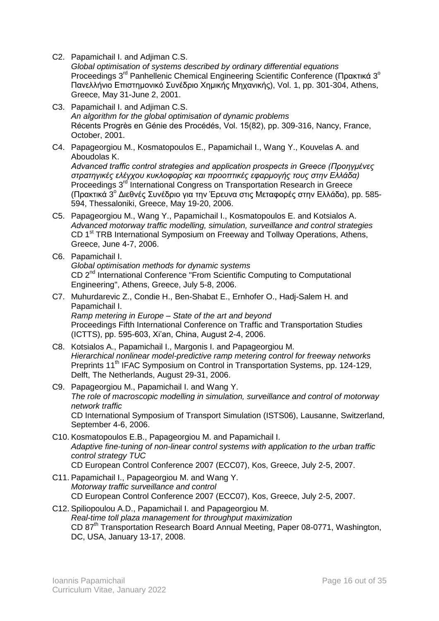C2. Papamichail I. and Adjiman C.S.

*Global optimisation of systems described by ordinary differential equations* Proceedings 3<sup>rd</sup> Panhellenic Chemical Engineering Scientific Conference (Πρακτικά 3<sup>°</sup> Πανελλήνιο Επιστημονικό Συνέδριο Χημικής Μηχανικής), Vol. 1, pp. 301-304, Athens, Greece, May 31-June 2, 2001.

- C3. Papamichail I. and Adjiman C.S. *An algorithm for the global optimisation of dynamic problems* Récents Progrès en Génie des Procédés, Vol. 15(82), pp. 309-316, Nancy, France, October, 2001.
- C4. Papageorgiou M., Kosmatopoulos E., Papamichail I., Wang Y., Kouvelas A. and Aboudolas K. *Advanced traffic control strategies and application prospects in Greece (Προηγμένες στρατηγικές ελέγχου κυκλοφορίας και προοπτικές εφαρμογής τους στην Ελλάδα)* Proceedings 3<sup>rd</sup> International Congress on Transportation Research in Greece (Πρακτικά 3 <sup>ο</sup> Διεθνές Συνέδριο για την Έρευνα στις Μεταφορές στην Ελλάδα), pp. 585- 594, Thessaloniki, Greece, May 19-20, 2006.
- C5. Papageorgiou M., Wang Y., Papamichail I., Kosmatopoulos E. and Kotsialos A. *Advanced motorway traffic modelling, simulation, surveillance and control strategies* CD 1<sup>st</sup> TRB International Symposium on Freeway and Tollway Operations, Athens, Greece, June 4-7, 2006.
- C6. Papamichail I. *Global optimisation methods for dynamic systems* CD 2<sup>nd</sup> International Conference "From Scientific Computing to Computational Engineering", Athens, Greece, July 5-8, 2006.
- C7. Muhurdarevic Z., Condie H., Ben-Shabat E., Ernhofer O., Hadj-Salem H. and Papamichail I. *Ramp metering in Europe – State of the art and beyond* Proceedings Fifth International Conference on Traffic and Transportation Studies (ICTTS), pp. 595-603, Xi'an, China, August 2-4, 2006.
- C8. Kotsialos A., Papamichail I., Margonis I. and Papageorgiou M. *Hierarchical nonlinear model-predictive ramp metering control for freeway networks* Preprints 11<sup>th</sup> IFAC Symposium on Control in Transportation Systems, pp. 124-129, Delft, The Netherlands, August 29-31, 2006.
- C9. Papageorgiou M., Papamichail I. and Wang Y. *The role of macroscopic modelling in simulation, surveillance and control of motorway network traffic* CD International Symposium of Transport Simulation (ISTS06), Lausanne, Switzerland, September 4-6, 2006.
- C10. Kosmatopoulos E.B., Papageorgiou M. and Papamichail I. *Adaptive fine-tuning of non-linear control systems with application to the urban traffic control strategy TUC* CD European Control Conference 2007 (ECC07), Kos, Greece, July 2-5, 2007.
- C11. Papamichail I., Papageorgiou M. and Wang Y. *Motorway traffic surveillance and control* CD European Control Conference 2007 (ECC07), Kos, Greece, July 2-5, 2007.
- C12. Spiliopoulou A.D., Papamichail I. and Papageorgiou M. *Real-time toll plaza management for throughput maximization* CD 87<sup>th</sup> Transportation Research Board Annual Meeting, Paper 08-0771, Washington, DC, USA, January 13-17, 2008.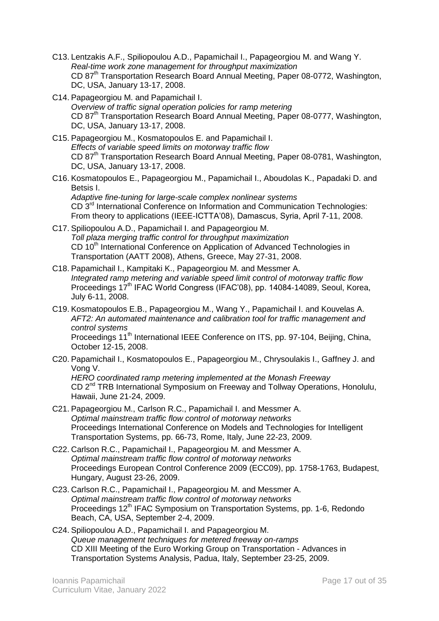- C13. Lentzakis A.F., Spiliopoulou A.D., Papamichail I., Papageorgiou M. and Wang Y. *Real-time work zone management for throughput maximization* CD 87<sup>th</sup> Transportation Research Board Annual Meeting, Paper 08-0772, Washington, DC, USA, January 13-17, 2008.
- C14. Papageorgiou M. and Papamichail I. *Overview of traffic signal operation policies for ramp metering* CD 87<sup>th</sup> Transportation Research Board Annual Meeting, Paper 08-0777, Washington, DC, USA, January 13-17, 2008.
- C15. Papageorgiou M., Kosmatopoulos E. and Papamichail I. *Effects of variable speed limits on motorway traffic flow* CD 87<sup>th</sup> Transportation Research Board Annual Meeting, Paper 08-0781, Washington, DC, USA, January 13-17, 2008.
- C16. Kosmatopoulos E., Papageorgiou M., Papamichail I., Aboudolas K., Papadaki D. and Betsis I. *Adaptive fine-tuning for large-scale complex nonlinear systems* CD 3rd International Conference on Information and Communication Technologies: From theory to applications (IEEE-ICTTA'08), Damascus, Syria, April 7-11, 2008.
- C17. Spiliopoulou A.D., Papamichail I. and Papageorgiou M. *Toll plaza merging traffic control for throughput maximization* CD 10<sup>th</sup> International Conference on Application of Advanced Technologies in Transportation (AATT 2008), Athens, Greece, May 27-31, 2008.
- C18. Papamichail I., Kampitaki K., Papageorgiou M. and Messmer A. *Integrated ramp metering and variable speed limit control of motorway traffic flow* Proceedings 17<sup>th</sup> IFAC World Congress (IFAC'08), pp. 14084-14089, Seoul, Korea, July 6-11, 2008.
- C19. Kosmatopoulos E.B., Papageorgiou M., Wang Y., Papamichail I. and Kouvelas A. *AFT2: An automated maintenance and calibration tool for traffic management and control systems* Proceedings 11<sup>th</sup> International IEEE Conference on ITS, pp. 97-104, Beijing, China, October 12-15, 2008.
- C20. Papamichail I., Kosmatopoulos E., Papageorgiou M., Chrysoulakis I., Gaffney J. and Vong V.

*HERO coordinated ramp metering implemented at the Monash Freeway* CD 2<sup>nd</sup> TRB International Symposium on Freeway and Tollway Operations, Honolulu, Hawaii, June 21-24, 2009.

- C21. Papageorgiou M., Carlson R.C., Papamichail I. and Messmer A. *Optimal mainstream traffic flow control of motorway networks* Proceedings International Conference on Models and Technologies for Intelligent Transportation Systems, pp. 66-73, Rome, Italy, June 22-23, 2009.
- C22. Carlson R.C., Papamichail I., Papageorgiou M. and Messmer A. *Optimal mainstream traffic flow control of motorway networks* Proceedings European Control Conference 2009 (ECC09), pp. 1758-1763, Budapest, Hungary, August 23-26, 2009.
- C23. Carlson R.C., Papamichail I., Papageorgiou M. and Messmer A. *Optimal mainstream traffic flow control of motorway networks* Proceedings 12<sup>th</sup> IFAC Symposium on Transportation Systems, pp. 1-6, Redondo Beach, CA, USA, September 2-4, 2009.
- C24. Spiliopoulou A.D., Papamichail I. and Papageorgiou M. *Queue management techniques for metered freeway on-ramps* CD XIII Meeting of the Euro Working Group on Transportation - Advances in Transportation Systems Analysis, Padua, Italy, September 23-25, 2009.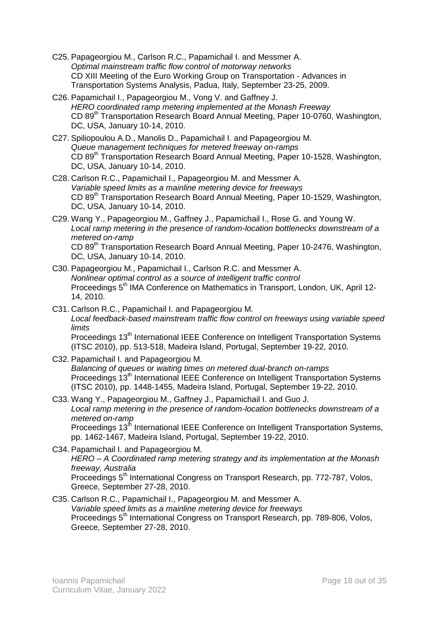- C25. Papageorgiou M., Carlson R.C., Papamichail I. and Messmer A. *Optimal mainstream traffic flow control of motorway networks* CD XIII Meeting of the Euro Working Group on Transportation - Advances in Transportation Systems Analysis, Padua, Italy, September 23-25, 2009.
- C26. Papamichail I., Papageorgiou M., Vong V. and Gaffney J. *HERO coordinated ramp metering implemented at the Monash Freeway* CD 89<sup>th</sup> Transportation Research Board Annual Meeting, Paper 10-0760, Washington, DC, USA, January 10-14, 2010.
- C27. Spiliopoulou A.D., Manolis D., Papamichail I. and Papageorgiou M. *Queue management techniques for metered freeway on-ramps* CD 89<sup>th</sup> Transportation Research Board Annual Meeting, Paper 10-1528, Washington, DC, USA, January 10-14, 2010.
- C28. Carlson R.C., Papamichail I., Papageorgiou M. and Messmer A. *Variable speed limits as a mainline metering device for freeways* CD 89<sup>th</sup> Transportation Research Board Annual Meeting, Paper 10-1529, Washington, DC, USA, January 10-14, 2010.
- C29. Wang Y., Papageorgiou M., Gaffney J., Papamichail I., Rose G. and Young W. *Local ramp metering in the presence of random-location bottlenecks downstream of a metered on-ramp* CD 89<sup>th</sup> Transportation Research Board Annual Meeting, Paper 10-2476, Washington, DC, USA, January 10-14, 2010.
- C30. Papageorgiou M., Papamichail I., Carlson R.C. and Messmer A. *Nonlinear optimal control as a source of intelligent traffic control* Proceedings 5<sup>th</sup> IMA Conference on Mathematics in Transport, London, UK, April 12-14, 2010.
- C31. Carlson R.C., Papamichail I. and Papageorgiou M. *Local feedback-based mainstream traffic flow control on freeways using variable speed limits* Proceedings 13<sup>th</sup> International IEEE Conference on Intelligent Transportation Systems (ITSC 2010), pp. 513-518, Madeira Island, Portugal, September 19-22, 2010.
- C32. Papamichail I. and Papageorgiou M. *Balancing of queues or waiting times on metered dual-branch on-ramps* Proceedings 13<sup>th</sup> International IEEE Conference on Intelligent Transportation Systems (ITSC 2010), pp. 1448-1455, Madeira Island, Portugal, September 19-22, 2010.
- C33. Wang Y., Papageorgiou M., Gaffney J., Papamichail I. and Guo J. *Local ramp metering in the presence of random-location bottlenecks downstream of a metered on-ramp* Proceedings 13<sup>th</sup> International IEEE Conference on Intelligent Transportation Systems, pp. 1462-1467, Madeira Island, Portugal, September 19-22, 2010.
- C34. Papamichail I. and Papageorgiou M. *HERO – A Coordinated ramp metering strategy and its implementation at the Monash freeway, Australia* Proceedings 5<sup>th</sup> International Congress on Transport Research, pp. 772-787, Volos, Greece, September 27-28, 2010.
- C35. Carlson R.C., Papamichail I., Papageorgiou M. and Messmer A. *Variable speed limits as a mainline metering device for freeways* Proceedings 5<sup>th</sup> International Congress on Transport Research, pp. 789-806, Volos, Greece, September 27-28, 2010.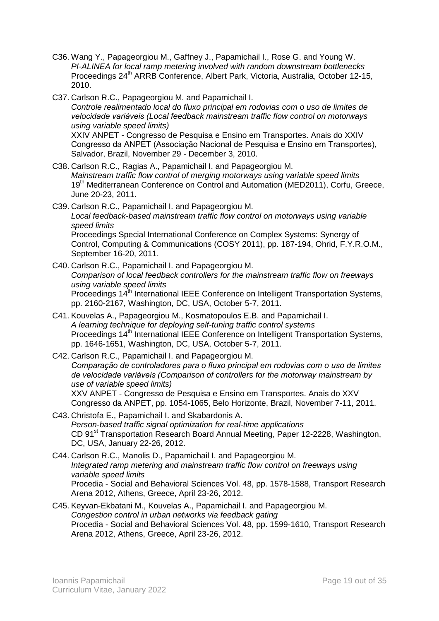- C36. Wang Y., Papageorgiou M., Gaffney J., Papamichail I., Rose G. and Young W. *PI-ALINEA for local ramp metering involved with random downstream bottlenecks* Proceedings 24<sup>th</sup> ARRB Conference, Albert Park, Victoria, Australia, October 12-15, 2010.
- C37. Carlson R.C., Papageorgiou M. and Papamichail I. *Controle realimentado local do fluxo principal em rodovias com o uso de limites de velocidade variáveis (Local feedback mainstream traffic flow control on motorways using variable speed limits)* XXIV ANPET - Congresso de Pesquisa e Ensino em Transportes. Anais do XXIV Congresso da ANPET (Associação Nacional de Pesquisa e Ensino em Transportes), Salvador, Brazil, November 29 - December 3, 2010.
- C38. Carlson R.C., Ragias A., Papamichail I. and Papageorgiou M. *Mainstream traffic flow control of merging motorways using variable speed limits* 19<sup>th</sup> Mediterranean Conference on Control and Automation (MED2011), Corfu, Greece, June 20-23, 2011.
- C39. Carlson R.C., Papamichail I. and Papageorgiou M. *Local feedback-based mainstream traffic flow control on motorways using variable speed limits* Proceedings Special International Conference on Complex Systems: Synergy of Control, Computing & Communications (COSY 2011), pp. 187-194, Ohrid, F.Y.R.O.M., September 16-20, 2011.
- C40. Carlson R.C., Papamichail I. and Papageorgiou M. *Comparison of local feedback controllers for the mainstream traffic flow on freeways using variable speed limits* Proceedings 14<sup>th</sup> International IEEE Conference on Intelligent Transportation Systems, pp. 2160-2167, Washington, DC, USA, October 5-7, 2011.
- C41. Kouvelas A., Papageorgiou M., Kosmatopoulos E.B. and Papamichail I. *A learning technique for deploying self-tuning traffic control systems* Proceedings 14<sup>th</sup> International IEEE Conference on Intelligent Transportation Systems, pp. 1646-1651, Washington, DC, USA, October 5-7, 2011.
- C42. Carlson R.C., Papamichail I. and Papageorgiou M. *Comparação de controladores para o fluxo principal em rodovias com o uso de limites de velocidade variáveis (Comparison of controllers for the motorway mainstream by use of variable speed limits)*

XXV ANPET - Congresso de Pesquisa e Ensino em Transportes. Anais do XXV Congresso da ANPET, pp. 1054-1065, Belo Horizonte, Brazil, November 7-11, 2011.

- C43. Christofa E., Papamichail I. and Skabardonis A. *Person-based traffic signal optimization for real-time applications* CD 91<sup>st</sup> Transportation Research Board Annual Meeting, Paper 12-2228, Washington, DC, USA, January 22-26, 2012.
- C44. Carlson R.C., Manolis D., Papamichail I. and Papageorgiou M. *Integrated ramp metering and mainstream traffic flow control on freeways using variable speed limits* Procedia - Social and Behavioral Sciences Vol. 48, pp. 1578-1588, Transport Research Arena 2012, Athens, Greece, April 23-26, 2012.
- C45. Keyvan-Ekbatani M., Kouvelas A., Papamichail I. and Papageorgiou M. *Congestion control in urban networks via feedback gating* Procedia - Social and Behavioral Sciences Vol. 48, pp. 1599-1610, Transport Research Arena 2012, Athens, Greece, April 23-26, 2012.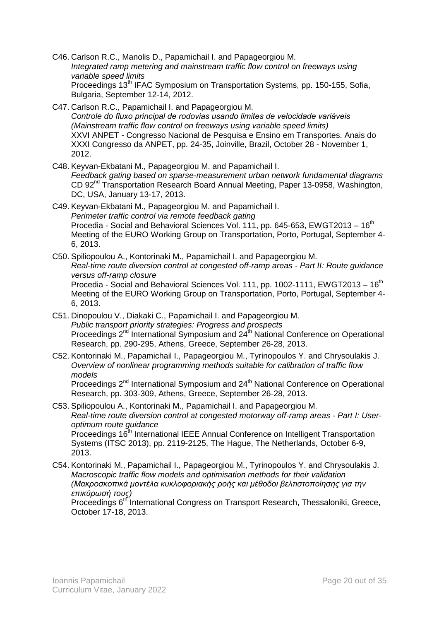- C46. Carlson R.C., Manolis D., Papamichail I. and Papageorgiou M. *Integrated ramp metering and mainstream traffic flow control on freeways using variable speed limits* Proceedings 13<sup>th</sup> IFAC Symposium on Transportation Systems, pp. 150-155, Sofia, Bulgaria, September 12-14, 2012.
- C47. Carlson R.C., Papamichail I. and Papageorgiou M. *Controle do fluxo principal de rodovias usando limites de velocidade variáveis (Mainstream traffic flow control on freeways using variable speed limits)* XXVI ANPET - Congresso Nacional de Pesquisa e Ensino em Transportes. Anais do XXXI Congresso da ANPET, pp. 24-35, Joinville, Brazil, October 28 - November 1, 2012.
- C48. Keyvan-Ekbatani M., Papageorgiou M. and Papamichail I. *Feedback gating based on sparse-measurement urban network fundamental diagrams* CD 92<sup>nd</sup> Transportation Research Board Annual Meeting, Paper 13-0958, Washington, DC, USA, January 13-17, 2013.
- C49. Keyvan-Ekbatani M., Papageorgiou M. and Papamichail I. *Perimeter traffic control via remote feedback gating* Procedia - Social and Behavioral Sciences Vol. 111, pp. 645-653, EWGT2013 -  $16<sup>th</sup>$ Meeting of the EURO Working Group on Transportation, Porto, Portugal, September 4- 6, 2013.
- C50. Spiliopoulou A., Kontorinaki M., Papamichail I. and Papageorgiou M. *Real-time route diversion control at congested off-ramp areas - Part II: Route guidance versus off-ramp closure* Procedia - Social and Behavioral Sciences Vol. 111, pp. 1002-1111, EWGT2013 - 16<sup>th</sup> Meeting of the EURO Working Group on Transportation, Porto, Portugal, September 4- 6, 2013.
- C51. Dinopoulou V., Diakaki C., Papamichail I. and Papageorgiou M. *Public transport priority strategies: Progress and prospects* Proceedings 2<sup>nd</sup> International Symposium and 24<sup>th</sup> National Conference on Operational Research, pp. 290-295, Athens, Greece, September 26-28, 2013.
- C52. Kontorinaki M., Papamichail I., Papageorgiou M., Tyrinopoulos Y. and Chrysoulakis J. *Overview of nonlinear programming methods suitable for calibration of traffic flow models* Proceedings 2<sup>nd</sup> International Symposium and 24<sup>th</sup> National Conference on Operational Research, pp. 303-309, Athens, Greece, September 26-28, 2013.
- C53. Spiliopoulou A., Kontorinaki M., Papamichail I. and Papageorgiou M. *Real-time route diversion control at congested motorway off-ramp areas - Part I: Useroptimum route guidance* Proceedings 16<sup>th</sup> International IEEE Annual Conference on Intelligent Transportation Systems (ITSC 2013), pp. 2119-2125, The Hague, The Netherlands, October 6-9, 2013.
- C54. Kontorinaki M., Papamichail I., Papageorgiou M., Tyrinopoulos Y. and Chrysoulakis J. *Macroscopic traffic flow models and optimisation methods for their validation (Μακροσκοπικά μοντέλα κυκλοφοριακής ροής και μέθοδοι βελτιστοποίησης για την επικύρωσή τους)* Proceedings 6<sup>th</sup> International Congress on Transport Research, Thessaloniki, Greece, October 17-18, 2013.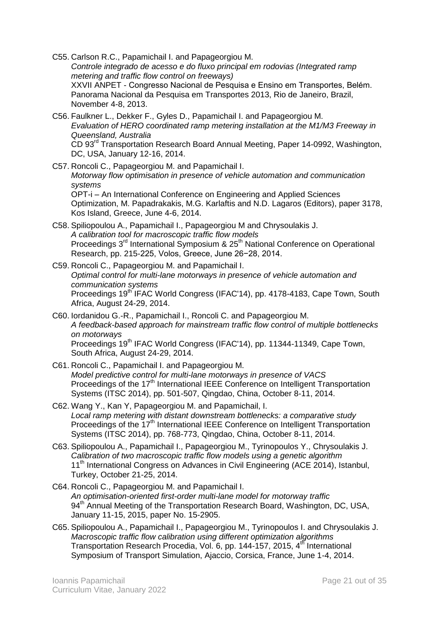- C55. Carlson R.C., Papamichail I. and Papageorgiou M. *Controle integrado de acesso e do fluxo principal em rodovias (Integrated ramp metering and traffic flow control on freeways)* XXVII ANPET - Congresso Nacional de Pesquisa e Ensino em Transportes, Belém. Panorama Nacional da Pesquisa em Transportes 2013, Rio de Janeiro, Brazil, November 4-8, 2013.
- C56. Faulkner L., Dekker F., Gyles D., Papamichail I. and Papageorgiou M. *Evaluation of HERO coordinated ramp metering installation at the M1/M3 Freeway in Queensland, Australia* CD 93rd Transportation Research Board Annual Meeting, Paper 14-0992, Washington, DC, USA, January 12-16, 2014.
- C57. Roncoli C., Papageorgiou M. and Papamichail I. *Motorway flow optimisation in presence of vehicle automation and communication systems* OPT-i – An International Conference on Engineering and Applied Sciences Optimization, M. Papadrakakis, M.G. Karlaftis and N.D. Lagaros (Editors), paper 3178,
- Kos Island, Greece, June 4-6, 2014. C58. Spiliopoulou A., Papamichail I., Papageorgiou M and Chrysoulakis J. *A calibration tool for macroscopic traffic flow models* Proceedings 3<sup>rd</sup> International Symposium & 25<sup>th</sup> National Conference on Operational Research, pp. 215-225, Volos, Greece, June 26−28, 2014.
- C59. Roncoli C., Papageorgiou M. and Papamichail I. *Optimal control for multi-lane motorways in presence of vehicle automation and communication systems* Proceedings 19<sup>th IFAC</sup> World Congress (IFAC'14), pp. 4178-4183, Cape Town, South Africa, August 24-29, 2014.
- C60. Iordanidou G.-R., Papamichail I., Roncoli C. and Papageorgiou M. *A feedback-based approach for mainstream traffic flow control of multiple bottlenecks on motorways* Proceedings 19<sup>th</sup> IFAC World Congress (IFAC'14), pp. 11344-11349, Cape Town, South Africa, August 24-29, 2014.
- C61. Roncoli C., Papamichail I. and Papageorgiou M. *Model predictive control for multi-lane motorways in presence of VACS* Proceedings of the 17<sup>th</sup> International IEEE Conference on Intelligent Transportation Systems (ITSC 2014), pp. 501-507, Qingdao, China, October 8-11, 2014.
- C62. Wang Y., Kan Y, Papageorgiou M. and Papamichail, I. *Local ramp metering with distant downstream bottlenecks: a comparative study* Proceedings of the 17<sup>th</sup> International IEEE Conference on Intelligent Transportation Systems (ITSC 2014), pp. 768-773, Qingdao, China, October 8-11, 2014.
- C63. Spiliopoulou A., Papamichail I., Papageorgiou M., Tyrinopoulos Y., Chrysoulakis J. *Calibration of two macroscopic traffic flow models using a genetic algorithm* 11<sup>th</sup> International Congress on Advances in Civil Engineering (ACE 2014), Istanbul, Turkey, October 21-25, 2014.
- C64. Roncoli C., Papageorgiou M. and Papamichail I. *An optimisation-oriented first-order multi-lane model for motorway traffic* 94<sup>th</sup> Annual Meeting of the Transportation Research Board, Washington, DC, USA, January 11-15, 2015, paper No. 15-2905.
- C65. Spiliopoulou A., Papamichail I., Papageorgiou M., Tyrinopoulos I. and Chrysoulakis J. *Macroscopic traffic flow calibration using different optimization algorithms* Transportation Research Procedia, Vol. 6, pp. 144-157, 2015, 4<sup>th</sup> International Symposium of Transport Simulation, Ajaccio, Corsica, France, June 1-4, 2014.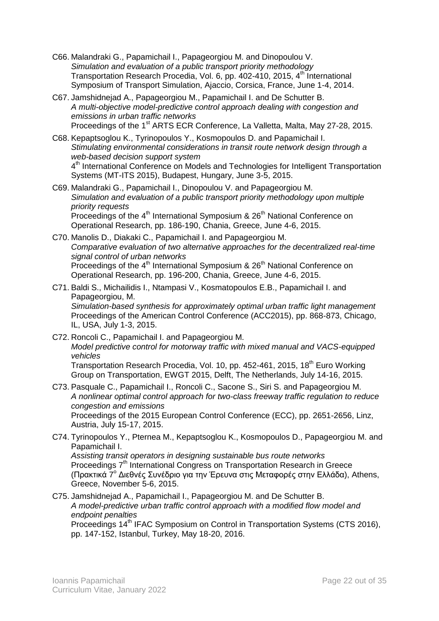- C66. Malandraki G., Papamichail I., Papageorgiou M. and Dinopoulou V. *Simulation and evaluation of a public transport priority methodology* Transportation Research Procedia, Vol. 6, pp. 402-410, 2015, 4<sup>th</sup> International Symposium of Transport Simulation, Ajaccio, Corsica, France, June 1-4, 2014.
- C67. Jamshidnejad A., Papageorgiou M., Papamichail I. and De Schutter B. *A multi-objective model-predictive control approach dealing with congestion and emissions in urban traffic networks* Proceedings of the 1<sup>st</sup> ARTS ECR Conference, La Valletta, Malta, May 27-28, 2015.
- C68. Kepaptsoglou K., Tyrinopoulos Y., Kosmopoulos D. and Papamichail I. *Stimulating environmental considerations in transit route network design through a web-based decision support system* 4<sup>th</sup> International Conference on Models and Technologies for Intelligent Transportation Systems (MT-ITS 2015), Budapest, Hungary, June 3-5, 2015.
- C69. Malandraki G., Papamichail I., Dinopoulou V. and Papageorgiou M. *Simulation and evaluation of a public transport priority methodology upon multiple priority requests* Proceedings of the 4<sup>th</sup> International Symposium & 26<sup>th</sup> National Conference on Operational Research, pp. 186-190, Chania, Greece, June 4-6, 2015.
- C70. Manolis D., Diakaki C., Papamichail I. and Papageorgiou M. *Comparative evaluation of two alternative approaches for the decentralized real-time signal control of urban networks* Proceedings of the  $4<sup>th</sup>$  International Symposium &  $26<sup>th</sup>$  National Conference on Operational Research, pp. 196-200, Chania, Greece, June 4-6, 2015.
- C71. Baldi S., Michailidis I., Ntampasi V., Kosmatopoulos E.B., Papamichail I. and Papageorgiou, M. *Simulation-based synthesis for approximately optimal urban traffic light management* Proceedings of the American Control Conference (ACC2015), pp. 868-873, Chicago, IL, USA, July 1-3, 2015.
- C72. Roncoli C., Papamichail I. and Papageorgiou M. *Model predictive control for motorway traffic with mixed manual and VACS-equipped vehicles* Transportation Research Procedia, Vol. 10, pp. 452-461, 2015, 18<sup>th</sup> Euro Working Group on Transportation, EWGT 2015, Delft, The Netherlands, July 14-16, 2015.
- C73. Pasquale C., Papamichail I., Roncoli C., Sacone S., Siri S. and Papageorgiou M. *A nonlinear optimal control approach for two-class freeway traffic regulation to reduce congestion and emissions* Proceedings of the 2015 European Control Conference (ECC), pp. 2651-2656, Linz, Austria, July 15-17, 2015.
- C74. Tyrinopoulos Y., Pternea M., Kepaptsoglou K., Kosmopoulos D., Papageorgiou M. and Papamichail I. *Assisting transit operators in designing sustainable bus route networks* Proceedings 7<sup>th</sup> International Congress on Transportation Research in Greece (Πρακτικά 7 <sup>ο</sup> Διεθνές Συνέδριο για την Έρευνα στις Μεταφορές στην Ελλάδα), Athens, Greece, November 5-6, 2015.
- C75. Jamshidnejad A., Papamichail I., Papageorgiou M. and De Schutter B. *A model-predictive urban traffic control approach with a modified flow model and endpoint penalties*

Proceedings 14<sup>th</sup> IFAC Symposium on Control in Transportation Systems (CTS 2016), pp. 147-152, Istanbul, Turkey, May 18-20, 2016.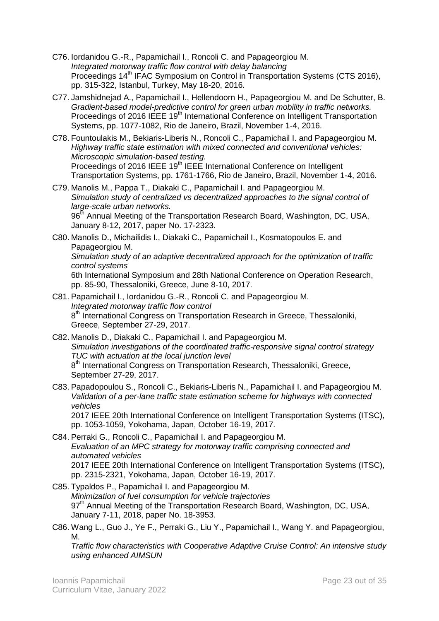- C76. Iordanidou G.-R., Papamichail I., Roncoli C. and Papageorgiou M. *Integrated motorway traffic flow control with delay balancing* Proceedings 14<sup>th</sup> IFAC Symposium on Control in Transportation Systems (CTS 2016), pp. 315-322, Istanbul, Turkey, May 18-20, 2016.
- C77. Jamshidnejad A., Papamichail I., Hellendoorn H., Papageorgiou M. and De Schutter, B. *Gradient-based model-predictive control for green urban mobility in traffic networks.* Proceedings of 2016 IEEE 19<sup>th</sup> International Conference on Intelligent Transportation Systems, pp. 1077-1082, Rio de Janeiro, Brazil, November 1-4, 2016.
- C78. Fountoulakis M., Bekiaris-Liberis N., Roncoli C., Papamichail I. and Papageorgiou M. *Highway traffic state estimation with mixed connected and conventional vehicles: Microscopic simulation-based testing.* Proceedings of 2016 IEEE 19<sup>th</sup> IEEE International Conference on Intelligent Transportation Systems, pp. 1761-1766, Rio de Janeiro, Brazil, November 1-4, 2016.
- C79. Manolis M., Pappa T., Diakaki C., Papamichail I. and Papageorgiou M. *Simulation study of centralized vs decentralized approaches to the signal control of large-scale urban networks.*

96<sup>th</sup> Annual Meeting of the Transportation Research Board, Washington, DC, USA, January 8-12, 2017, paper No. 17-2323.

- C80. Manolis D., Michailidis I., Diakaki C., Papamichail I., Kosmatopoulos E. and Papageorgiou M. *Simulation study of an adaptive decentralized approach for the optimization of traffic control systems* 6th International Symposium and 28th National Conference on Operation Research, pp. 85-90, Thessaloniki, Greece, June 8-10, 2017.
- C81. Papamichail I., Iordanidou G.-R., Roncoli C. and Papageorgiou M. *Integrated motorway traffic flow control* 8<sup>th</sup> International Congress on Transportation Research in Greece, Thessaloniki, Greece, September 27-29, 2017.
- C82. Manolis D., Diakaki C., Papamichail I. and Papageorgiou M. *Simulation investigations of the coordinated traffic-responsive signal control strategy TUC with actuation at the local junction level* 8<sup>th</sup> International Congress on Transportation Research, Thessaloniki, Greece, September 27-29, 2017.
- C83. Papadopoulou S., Roncoli C., Bekiaris-Liberis N., Papamichail I. and Papageorgiou M. *Validation of a per-lane traffic state estimation scheme for highways with connected vehicles*

2017 IEEE 20th International Conference on Intelligent Transportation Systems (ITSC), pp. 1053-1059, Yokohama, Japan, October 16-19, 2017.

- C84. Perraki G., Roncoli C., Papamichail I. and Papageorgiou M. *Evaluation of an MPC strategy for motorway traffic comprising connected and automated vehicles* 2017 IEEE 20th International Conference on Intelligent Transportation Systems (ITSC), pp. 2315-2321, Yokohama, Japan, October 16-19, 2017.
- C85. Typaldos P., Papamichail I. and Papageorgiou M. *Minimization of fuel consumption for vehicle trajectories* 97<sup>th</sup> Annual Meeting of the Transportation Research Board, Washington, DC, USA, January 7-11, 2018, paper No. 18-3953.
- C86. Wang L., Guo J., Ye F., Perraki G., Liu Y., Papamichail I., Wang Y. and Papageorgiou, M.

*Traffic flow characteristics with Cooperative Adaptive Cruise Control: An intensive study using enhanced AIMSUN*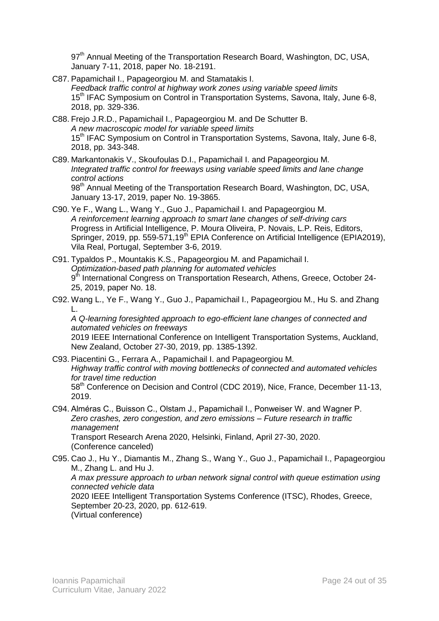97<sup>th</sup> Annual Meeting of the Transportation Research Board, Washington, DC, USA, January 7-11, 2018, paper No. 18-2191.

- C87. Papamichail I., Papageorgiou M. and Stamatakis I. *Feedback traffic control at highway work zones using variable speed limits* 15<sup>th</sup> IFAC Symposium on Control in Transportation Systems, Savona, Italy, June 6-8, 2018, pp. 329-336.
- C88. Frejo J.R.D., Papamichail I., Papageorgiou M. and De Schutter B. *A new macroscopic model for variable speed limits* 15<sup>th</sup> IFAC Symposium on Control in Transportation Systems, Savona, Italy, June 6-8, 2018, pp. 343-348.
- C89. Markantonakis V., Skoufoulas D.I., Papamichail I. and Papageorgiou M. *Integrated traffic control for freeways using variable speed limits and lane change control actions* 98<sup>th</sup> Annual Meeting of the Transportation Research Board, Washington, DC, USA, January 13-17, 2019, paper No. 19-3865.
- C90. Ye F., Wang L., Wang Y., Guo J., Papamichail I. and Papageorgiou M. *A reinforcement learning approach to smart lane changes of self-driving cars* Progress in Artificial Intelligence, P. Moura Oliveira, P. Novais, L.P. Reis, Editors, Springer, 2019, pp. 559-571,19<sup>th</sup> EPIA Conference on Artificial Intelligence (EPIA2019), Vila Real, Portugal, September 3-6, 2019.
- C91. Typaldos P., Mountakis K.S., Papageorgiou M. and Papamichail I. *Optimization-based path planning for automated vehicles* 9<sup>th</sup> International Congress on Transportation Research, Athens, Greece, October 24-25, 2019, paper No. 18.
- C92. Wang L., Ye F., Wang Y., Guo J., Papamichail I., Papageorgiou M., Hu S. and Zhang L.

*A Q-learning foresighted approach to ego-efficient lane changes of connected and automated vehicles on freeways* 2019 IEEE International Conference on Intelligent Transportation Systems, Auckland, New Zealand, October 27-30, 2019, pp. 1385-1392.

- C93. Piacentini G., Ferrara A., Papamichail I. and Papageorgiou M. *Highway traffic control with moving bottlenecks of connected and automated vehicles for travel time reduction* 58<sup>th</sup> Conference on Decision and Control (CDC 2019), Nice, France, December 11-13, 2019.
- C94. Alméras C., Buisson C., Olstam J., Papamichail I., Ponweiser W. and Wagner P. *Zero crashes, zero congestion, and zero emissions – Future research in traffic management* Transport Research Arena 2020, Helsinki, Finland, April 27-30, 2020. (Conference canceled)

C95. Cao J., Hu Y., Diamantis M., Zhang S., Wang Y., Guo J., Papamichail I., Papageorgiou M., Zhang L. and Hu J. *A max pressure approach to urban network signal control with queue estimation using connected vehicle data* 2020 IEEE Intelligent Transportation Systems Conference (ITSC), Rhodes, Greece, September 20-23, 2020, pp. 612-619. (Virtual conference)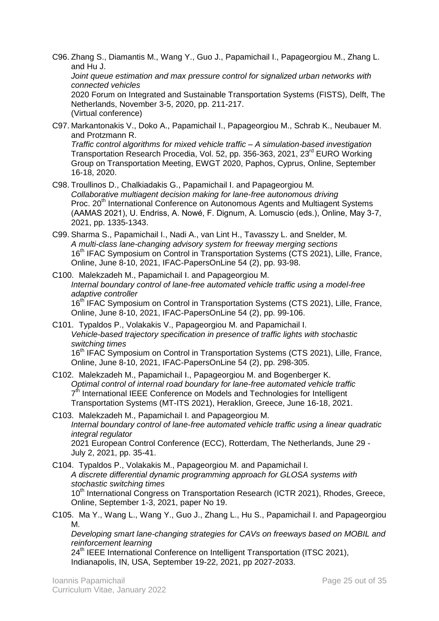C96. Zhang S., Diamantis M., Wang Y., Guo J., Papamichail I., Papageorgiou M., Zhang L. and Hu J.

*Joint queue estimation and max pressure control for signalized urban networks with connected vehicles*

2020 Forum on Integrated and Sustainable Transportation Systems (FISTS), Delft, The Netherlands, November 3-5, 2020, pp. 211-217. (Virtual conference)

C97. Markantonakis V., Doko A., Papamichail I., Papageorgiou M., Schrab K., Neubauer M. and Protzmann R.

*Traffic control algorithms for mixed vehicle traffic – A simulation-based investigation* Transportation Research Procedia, Vol. 52, pp. 356-363, 2021, 23<sup>rd</sup> EURO Working Group on Transportation Meeting, EWGT 2020, Paphos, Cyprus, Online, September 16-18, 2020.

- C98. Troullinos D., Chalkiadakis G., Papamichail I. and Papageorgiou M. *Collaborative multiagent decision making for lane-free autonomous driving* Proc. 20<sup>th</sup> International Conference on Autonomous Agents and Multiagent Systems (AAMAS 2021), U. Endriss, A. Nowé, F. Dignum, A. Lomuscio (eds.), Online, May 3-7, 2021, pp. 1335-1343.
- C99. Sharma S., Papamichail I., Nadi A., van Lint H., Tavasszy L. and Snelder, M. *A multi-class lane-changing advisory system for freeway merging sections*  16<sup>th</sup> IFAC Symposium on Control in Transportation Systems (CTS 2021), Lille, France, Online, June 8-10, 2021, IFAC-PapersOnLine 54 (2), pp. 93-98.
- C100. Malekzadeh M., Papamichail I. and Papageorgiou M. *Internal boundary control of lane-free automated vehicle traffic using a model-free adaptive controller* 16<sup>th</sup> IFAC Symposium on Control in Transportation Systems (CTS 2021), Lille, France, Online, June 8-10, 2021, IFAC-PapersOnLine 54 (2), pp. 99-106.
- C101. Typaldos P., Volakakis V., Papageorgiou M. and Papamichail I. *Vehicle-based trajectory specification in presence of traffic lights with stochastic switching times* 16<sup>th</sup> IFAC Symposium on Control in Transportation Systems (CTS 2021), Lille, France, Online, June 8-10, 2021, IFAC-PapersOnLine 54 (2), pp. 298-305.
- C102. Malekzadeh M., Papamichail I., Papageorgiou M. and Bogenberger K. *Optimal control of internal road boundary for lane-free automated vehicle traffic* 7<sup>th</sup> International IEEE Conference on Models and Technologies for Intelligent Transportation Systems (MT-ITS 2021), Heraklion, Greece, June 16-18, 2021.
- C103. Malekzadeh M., Papamichail I. and Papageorgiou M. *Internal boundary control of lane-free automated vehicle traffic using a linear quadratic integral regulator* 2021 European Control Conference (ECC), Rotterdam, The Netherlands, June 29 - July 2, 2021, pp. 35-41.

C104. Typaldos P., Volakakis M., Papageorgiou M. and Papamichail I. *A discrete differential dynamic programming approach for GLOSA systems with stochastic switching times* 10<sup>th</sup> International Congress on Transportation Research (ICTR 2021), Rhodes, Greece, Online, September 1-3, 2021, paper No 19.

C105. Ma Y., Wang L., Wang Y., Guo J., Zhang L., Hu S., Papamichail I. and Papageorgiou M.

*Developing smart lane-changing strategies for CAVs on freeways based on MOBIL and reinforcement learning*

24<sup>th</sup> IEEE International Conference on Intelligent Transportation (ITSC 2021), Indianapolis, IN, USA, September 19-22, 2021, pp 2027-2033.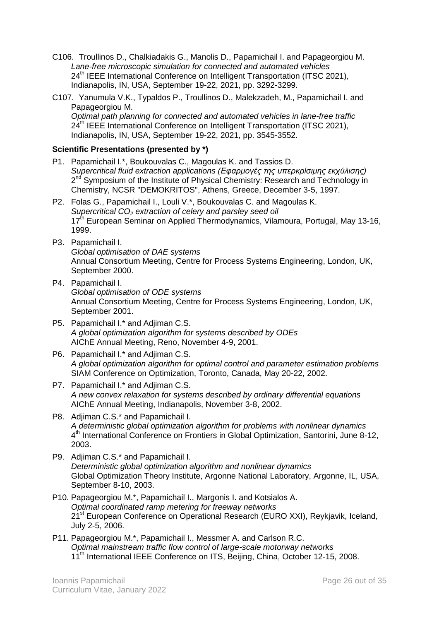- C106. Troullinos D., Chalkiadakis G., Manolis D., Papamichail I. and Papageorgiou M. *Lane-free microscopic simulation for connected and automated vehicles* 24<sup>th</sup> IEEE International Conference on Intelligent Transportation (ITSC 2021), Indianapolis, IN, USA, September 19-22, 2021, pp. 3292-3299.
- C107. Yanumula V.K., Typaldos P., Troullinos D., Malekzadeh, M., Papamichail I. and Papageorgiou M. *Optimal path planning for connected and automated vehicles in lane-free traffic* 24<sup>th</sup> IEEE International Conference on Intelligent Transportation (ITSC 2021), Indianapolis, IN, USA, September 19-22, 2021, pp. 3545-3552.

### **Scientific Presentations (presented by \*)**

- P1. Papamichail I.\*, Boukouvalas C., Magoulas K. and Tassios D. *Supercritical fluid extraction applications (Εφαρμογές της υπερκρίσιμης εκχύλισης)* 2<sup>nd</sup> Symposium of the Institute of Physical Chemistry: Research and Technology in Chemistry, NCSR "DEMOKRITOS", Athens, Greece, December 3-5, 1997.
- P2. Folas G., Papamichail I., Louli V.\*, Boukouvalas C. and Magoulas K. *Supercritical CO<sup>2</sup> extraction of celery and parsley seed oil*  $17<sup>th</sup>$  European Seminar on Applied Thermodynamics, Vilamoura, Portugal, May 13-16, 1999.
- P3. Papamichail I. *Global optimisation of DAE systems* Annual Consortium Meeting, Centre for Process Systems Engineering, London, UK, September 2000.
- P4. Papamichail I. *Global optimisation of ODE systems* Annual Consortium Meeting, Centre for Process Systems Engineering, London, UK, September 2001.
- P5. Papamichail I.\* and Adjiman C.S. *A global optimization algorithm for systems described by ODEs* AIChE Annual Meeting, Reno, November 4-9, 2001.
- P6. Papamichail I.\* and Adjiman C.S. *A global optimization algorithm for optimal control and parameter estimation problems* SIAM Conference on Optimization, Toronto, Canada, May 20-22, 2002.
- P7. Papamichail I.\* and Adjiman C.S. *A new convex relaxation for systems described by ordinary differential equations* AIChE Annual Meeting, Indianapolis, November 3-8, 2002.
- P8. Adjiman C.S.\* and Papamichail I. *A deterministic global optimization algorithm for problems with nonlinear dynamics* 4<sup>th</sup> International Conference on Frontiers in Global Optimization, Santorini, June 8-12, 2003.
- P9. Adjiman C.S.\* and Papamichail I. *Deterministic global optimization algorithm and nonlinear dynamics* Global Optimization Theory Institute, Argonne National Laboratory, Argonne, IL, USA, September 8-10, 2003.
- P10. Papageorgiou M.\*, Papamichail I., Margonis I. and Kotsialos A. *Optimal coordinated ramp metering for freeway networks* 21<sup>st</sup> European Conference on Operational Research (EURO XXI), Reykjavik, Iceland, July 2-5, 2006.
- P11. Papageorgiou M.\*, Papamichail I., Messmer A. and Carlson R.C. *Optimal mainstream traffic flow control of large-scale motorway networks* 11<sup>th</sup> International IEEE Conference on ITS, Beijing, China, October 12-15, 2008.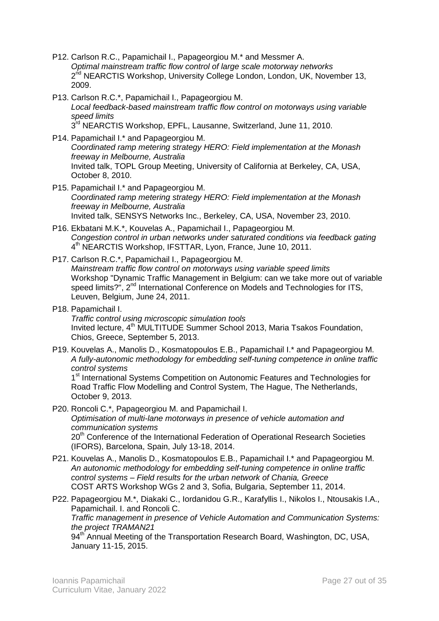- P12. Carlson R.C., Papamichail I., Papageorgiou M.\* and Messmer A. *Optimal mainstream traffic flow control of large scale motorway networks* 2<sup>nd</sup> NEARCTIS Workshop, University College London, London, UK, November 13, 2009.
- P13. Carlson R.C.\*, Papamichail I., Papageorgiou M. *Local feedback-based mainstream traffic flow control on motorways using variable speed limits* 3<sup>rd</sup> NEARCTIS Workshop, EPFL, Lausanne, Switzerland, June 11, 2010.
- P14. Papamichail I.\* and Papageorgiou M. *Coordinated ramp metering strategy HERO: Field implementation at the Monash freeway in Melbourne, Australia* Invited talk, TOPL Group Meeting, University of California at Berkeley, CA, USA, October 8, 2010.
- P15. Papamichail I.\* and Papageorgiou M. *Coordinated ramp metering strategy HERO: Field implementation at the Monash freeway in Melbourne, Australia* Invited talk, SENSYS Networks Inc., Berkeley, CA, USA, November 23, 2010.
- P16. Ekbatani M.K.\*, Kouvelas A., Papamichail I., Papageorgiou M. *Congestion control in urban networks under saturated conditions via feedback gating* 4<sup>th</sup> NEARCTIS Workshop, IFSTTAR, Lyon, France, June 10, 2011.
- P17. Carlson R.C.\*, Papamichail I., Papageorgiou M. *Mainstream traffic flow control on motorways using variable speed limits* Workshop "Dynamic Traffic Management in Belgium: can we take more out of variable speed limits?", 2<sup>nd</sup> International Conference on Models and Technologies for ITS, Leuven, Belgium, June 24, 2011.
- P18. Papamichail I. *Traffic control using microscopic simulation tools* Invited lecture, 4<sup>th</sup> MULTITUDE Summer School 2013, Maria Tsakos Foundation, Chios, Greece, September 5, 2013.
- P19. Kouvelas A., Manolis D., Kosmatopoulos E.B., Papamichail I.\* and Papageorgiou M. *A fully-autonomic methodology for embedding self-tuning competence in online traffic control systems*

1<sup>st</sup> International Systems Competition on Autonomic Features and Technologies for Road Traffic Flow Modelling and Control System, The Hague, The Netherlands, October 9, 2013.

- P20. Roncoli C.\*, Papageorgiou M. and Papamichail I. *Optimisation of multi-lane motorways in presence of vehicle automation and communication systems* 20<sup>th</sup> Conference of the International Federation of Operational Research Societies (IFORS), Barcelona, Spain, July 13-18, 2014.
- P21. Kouvelas A., Manolis D., Kosmatopoulos E.B., Papamichail I.\* and Papageorgiou M. *An autonomic methodology for embedding self-tuning competence in online traffic control systems – Field results for the urban network of Chania, Greece* COST ARTS Workshop WGs 2 and 3, Sofia, Bulgaria, September 11, 2014.
- P22. Papageorgiou M.\*, Diakaki C., Iordanidou G.R., Karafyllis I., Nikolos I., Ntousakis I.A., Papamichail. I. and Roncoli C. *Traffic management in presence of Vehicle Automation and Communication Systems: the project TRAMAN21*

94<sup>th</sup> Annual Meeting of the Transportation Research Board, Washington, DC, USA, January 11-15, 2015.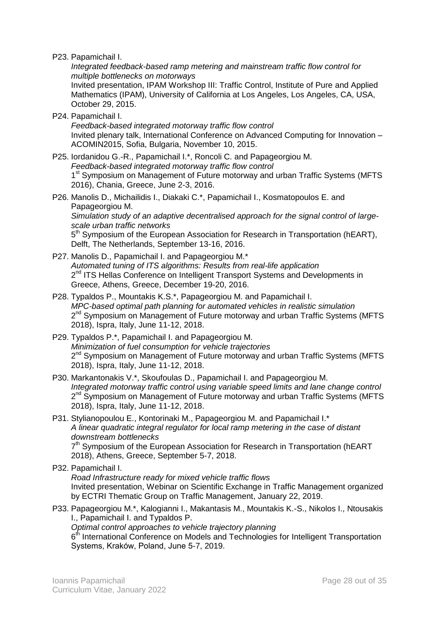P23. Papamichail I.

*Integrated feedback-based ramp metering and mainstream traffic flow control for multiple bottlenecks on motorways*

Invited presentation, IPAM Workshop III: Traffic Control, Institute of Pure and Applied Mathematics (IPAM), University of California at Los Angeles, Los Angeles, CA, USA, October 29, 2015.

P24. Papamichail I.

*Feedback-based integrated motorway traffic flow control* Invited plenary talk, International Conference on Advanced Computing for Innovation – ACOMIN2015, Sofia, Bulgaria, November 10, 2015.

- P25. Iordanidou G.-R., Papamichail I.\*, Roncoli C. and Papageorgiou M. *Feedback-based integrated motorway traffic flow control* 1<sup>st</sup> Symposium on Management of Future motorway and urban Traffic Systems (MFTS 2016), Chania, Greece, June 2-3, 2016.
- P26. Manolis D., Michailidis I., Diakaki C.\*, Papamichail I., Kosmatopoulos E. and Papageorgiou M.

*Simulation study of an adaptive decentralised approach for the signal control of largescale urban traffic networks*

5<sup>th</sup> Symposium of the European Association for Research in Transportation (hEART), Delft, The Netherlands, September 13-16, 2016.

- P27. Manolis D., Papamichail I. and Papageorgiou M.\* *Automated tuning of ITS algorithms: Results from real-life application* 2<sup>nd</sup> ITS Hellas Conference on Intelligent Transport Systems and Developments in Greece, Athens, Greece, December 19-20, 2016.
- P28. Typaldos P., Mountakis K.S.\*, Papageorgiou M. and Papamichail I. *MPC-based optimal path planning for automated vehicles in realistic simulation* 2<sup>nd</sup> Symposium on Management of Future motorway and urban Traffic Systems (MFTS 2018), Ispra, Italy, June 11-12, 2018.
- P29. Typaldos P.\*, Papamichail I. and Papageorgiou M. *Minimization of fuel consumption for vehicle trajectories* 2<sup>nd</sup> Symposium on Management of Future motorway and urban Traffic Systems (MFTS 2018), Ispra, Italy, June 11-12, 2018.
- P30. Markantonakis V.\*, Skoufoulas D., Papamichail I. and Papageorgiou M. *Integrated motorway traffic control using variable speed limits and lane change control* 2<sup>nd</sup> Symposium on Management of Future motorway and urban Traffic Systems (MFTS 2018), Ispra, Italy, June 11-12, 2018.
- P31. Stylianopoulou E., Kontorinaki M., Papageorgiou M. and Papamichail I.\* *A linear quadratic integral regulator for local ramp metering in the case of distant downstream bottlenecks* 7<sup>th</sup> Symposium of the European Association for Research in Transportation (hEART 2018), Athens, Greece, September 5-7, 2018.
- P32. Papamichail I.

*Road Infrastructure ready for mixed vehicle traffic flows* Invited presentation, Webinar on Scientific Exchange in Traffic Management organized by ECTRI Thematic Group on Traffic Management, January 22, 2019.

P33. Papageorgiou M.\*, Kalogianni I., Makantasis M., Mountakis K.-S., Nikolos I., Ntousakis I., Papamichail I. and Typaldos P.

*Optimal control approaches to vehicle trajectory planning*

6<sup>th</sup> International Conference on Models and Technologies for Intelligent Transportation Systems, Kraków, Poland, June 5-7, 2019.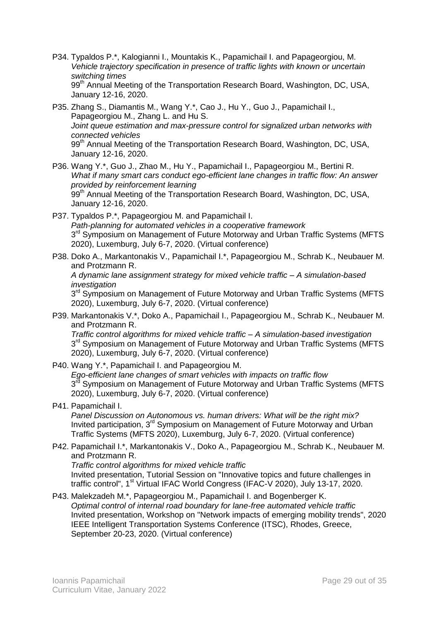- P34. Typaldos P.\*, Kalogianni I., Mountakis K., Papamichail I. and Papageorgiou, M. *Vehicle trajectory specification in presence of traffic lights with known or uncertain switching times* 99<sup>th</sup> Annual Meeting of the Transportation Research Board, Washington, DC, USA, January 12-16, 2020.
- P35. Zhang S., Diamantis M., Wang Y.\*, Cao J., Hu Y., Guo J., Papamichail I., Papageorgiou M., Zhang L. and Hu S. *Joint queue estimation and max-pressure control for signalized urban networks with connected vehicles* 99<sup>th</sup> Annual Meeting of the Transportation Research Board, Washington, DC, USA, January 12-16, 2020.
- P36. Wang Y.\*, Guo J., Zhao M., Hu Y., Papamichail I., Papageorgiou M., Bertini R. *What if many smart cars conduct ego-efficient lane changes in traffic flow: An answer provided by reinforcement learning* 99<sup>th</sup> Annual Meeting of the Transportation Research Board, Washington, DC, USA, January 12-16, 2020.
- P37. Typaldos P.\*, Papageorgiou M. and Papamichail I. *Path-planning for automated vehicles in a cooperative framework* 3<sup>rd</sup> Symposium on Management of Future Motorway and Urban Traffic Systems (MFTS 2020), Luxemburg, July 6-7, 2020. (Virtual conference)
- P38. Doko A., Markantonakis V., Papamichail I.\*, Papageorgiou M., Schrab K., Neubauer M. and Protzmann R.

*A dynamic lane assignment strategy for mixed vehicle traffic – A simulation-based investigation*

3<sup>rd</sup> Symposium on Management of Future Motorway and Urban Traffic Systems (MFTS 2020), Luxemburg, July 6-7, 2020. (Virtual conference)

P39. Markantonakis V.\*, Doko A., Papamichail I., Papageorgiou M., Schrab K., Neubauer M. and Protzmann R.

*Traffic control algorithms for mixed vehicle traffic – A simulation-based investigation* 3<sup>rd</sup> Symposium on Management of Future Motorway and Urban Traffic Systems (MFTS 2020), Luxemburg, July 6-7, 2020. (Virtual conference)

P40. Wang Y.\*, Papamichail I. and Papageorgiou M.

*Ego-efficient lane changes of smart vehicles with impacts on traffic flow* 3<sup>rd</sup> Symposium on Management of Future Motorway and Urban Traffic Systems (MFTS 2020), Luxemburg, July 6-7, 2020. (Virtual conference)

P41. Papamichail I.

*Panel Discussion on Autonomous vs. human drivers: What will be the right mix?* Invited participation, 3<sup>rd</sup> Symposium on Management of Future Motorway and Urban Traffic Systems (MFTS 2020), Luxemburg, July 6-7, 2020. (Virtual conference)

P42. Papamichail I.\*, Markantonakis V., Doko A., Papageorgiou M., Schrab K., Neubauer M. and Protzmann R.

*Traffic control algorithms for mixed vehicle traffic* Invited presentation, Tutorial Session on "Innovative topics and future challenges in traffic control", 1<sup>st</sup> Virtual IFAC World Congress (IFAC-V 2020), July 13-17, 2020.

P43. Malekzadeh M.\*, Papageorgiou M., Papamichail I. and Bogenberger K. *Optimal control of internal road boundary for lane-free automated vehicle traffic* Invited presentation, Workshop on "Network impacts of emerging mobility trends", 2020 IEEE Intelligent Transportation Systems Conference (ITSC), Rhodes, Greece, September 20-23, 2020. (Virtual conference)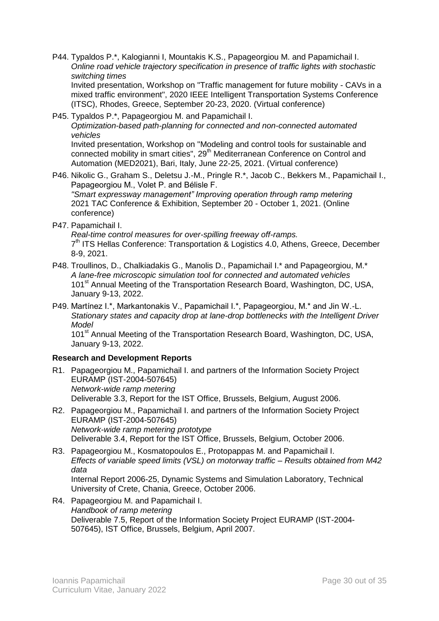P44. Typaldos P.\*, Kalogianni I, Mountakis K.S., Papageorgiou M. and Papamichail I. *Online road vehicle trajectory specification in presence of traffic lights with stochastic switching times*

Invited presentation, Workshop on "Traffic management for future mobility - CAVs in a mixed traffic environment", 2020 IEEE Intelligent Transportation Systems Conference (ITSC), Rhodes, Greece, September 20-23, 2020. (Virtual conference)

P45. Typaldos P.\*, Papageorgiou M. and Papamichail I. *Optimization-based path-planning for connected and non-connected automated vehicles* Invited presentation, Workshop on "Modeling and control tools for sustainable and connected mobility in smart cities",  $29<sup>th</sup>$  Mediterranean Conference on Control and Automation (MED2021), Bari, Italy, June 22-25, 2021. (Virtual conference)

- P46. Nikolic G., Graham S., Deletsu J.-M., Pringle R.\*, Jacob C., Bekkers M., Papamichail I., Papageorgiou M., Volet P. and Bélisle F. *"Smart expressway management" Improving operation through ramp metering* 2021 TAC Conference & Exhibition, September 20 - October 1, 2021. (Online conference)
- P47. Papamichail I.

*Real-time control measures for over-spilling freeway off-ramps.*  7<sup>th</sup> ITS Hellas Conference: Transportation & Logistics 4.0, Athens, Greece, December 8-9, 2021.

- P48. Troullinos, D., Chalkiadakis G., Manolis D., Papamichail I.\* and Papageorgiou, M.\* *A lane-free microscopic simulation tool for connected and automated vehicles* 101<sup>st</sup> Annual Meeting of the Transportation Research Board, Washington, DC, USA, January 9-13, 2022.
- P49. Martínez I.\*, Markantonakis V., Papamichail I.\*, Papageorgiou, M.\* and Jin W.-L. *Stationary states and capacity drop at lane-drop bottlenecks with the Intelligent Driver Model*

101<sup>st</sup> Annual Meeting of the Transportation Research Board, Washington, DC, USA, January 9-13, 2022.

### **Research and Development Reports**

- R1. Papageorgiou M., Papamichail I. and partners of the Information Society Project EURAMP (IST-2004-507645) *Network-wide ramp metering* Deliverable 3.3, Report for the IST Office, Brussels, Belgium, August 2006.
- R2. Papageorgiou M., Papamichail I. and partners of the Information Society Project EURAMP (IST-2004-507645) *Network-wide ramp metering prototype* Deliverable 3.4, Report for the IST Office, Brussels, Belgium, October 2006.
- R3. Papageorgiou M., Kosmatopoulos E., Protopappas M. and Papamichail I. *Effects of variable speed limits (VSL) on motorway traffic – Results obtained from M42 data* Internal Report 2006-25, Dynamic Systems and Simulation Laboratory, Technical
- R4. Papageorgiou M. and Papamichail I. *Handbook of ramp metering* Deliverable 7.5, Report of the Information Society Project EURAMP (IST-2004- 507645), IST Office, Brussels, Belgium, April 2007.

University of Crete, Chania, Greece, October 2006.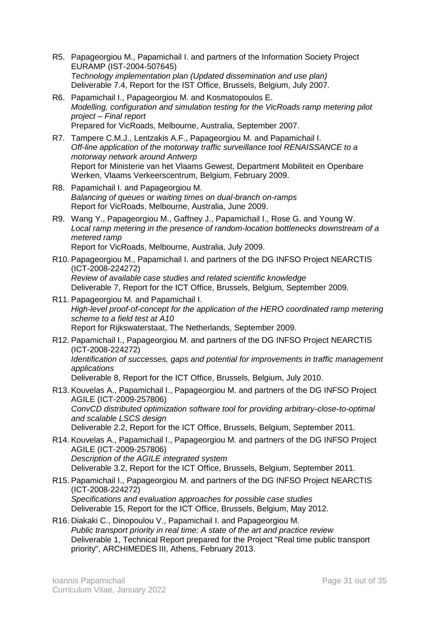- R5. Papageorgiou M., Papamichail I. and partners of the Information Society Project EURAMP (IST-2004-507645) *Technology implementation plan (Updated dissemination and use plan)* Deliverable 7.4, Report for the IST Office, Brussels, Belgium, July 2007.
- R6. Papamichail I., Papageorgiou M. and Kosmatopoulos E. *Modelling, configuration and simulation testing for the VicRoads ramp metering pilot project – Final report* Prepared for VicRoads, Melbourne, Australia, September 2007.
- R7. Tampere C.M.J., Lentzakis A.F., Papageorgiou M. and Papamichail I. *Off-line application of the motorway traffic surveillance tool RENAISSANCE to a motorway network around Antwerp* Report for Ministerie van het Vlaams Gewest, Department Mobiliteit en Openbare Werken, Vlaams Verkeerscentrum, Belgium, February 2009.
- R8. Papamichail I. and Papageorgiou M. *Balancing of queues or waiting times on dual-branch on-ramps* Report for VicRoads, Melbourne, Australia, June 2009.
- R9. Wang Y., Papageorgiou M., Gaffney J., Papamichail I., Rose G. and Young W. *Local ramp metering in the presence of random-location bottlenecks downstream of a metered ramp* Report for VicRoads, Melbourne, Australia, July 2009.
- R10. Papageorgiou M., Papamichail I. and partners of the DG INFSO Project NEARCTIS (ICT-2008-224272) *Review of available case studies and related scientific knowledge* Deliverable 7, Report for the ICT Office, Brussels, Belgium, September 2009.
- R11. Papageorgiou M. and Papamichail I. *High-level proof-of-concept for the application of the HERO coordinated ramp metering scheme to a field test at A10* Report for Rijkswaterstaat, The Netherlands, September 2009.
- R12. Papamichail I., Papageorgiou M. and partners of the DG INFSO Project NEARCTIS (ICT-2008-224272) *Identification of successes, gaps and potential for improvements in traffic management applications* Deliverable 8, Report for the ICT Office, Brussels, Belgium, July 2010.
- R13. Kouvelas A., Papamichail I., Papageorgiou M. and partners of the DG INFSO Project AGILE (ICT-2009-257806) *ConvCD distributed optimization software tool for providing arbitrary-close-to-optimal and scalable LSCS design* Deliverable 2.2, Report for the ICT Office, Brussels, Belgium, September 2011.
- R14. Kouvelas A., Papamichail I., Papageorgiou M. and partners of the DG INFSO Project AGILE (ICT-2009-257806) *Description of the AGILE integrated system* Deliverable 3.2, Report for the ICT Office, Brussels, Belgium, September 2011.
- R15. Papamichail I., Papageorgiou M. and partners of the DG INFSO Project NEARCTIS (ICT-2008-224272) *Specifications and evaluation approaches for possible case studies* Deliverable 15, Report for the ICT Office, Brussels, Belgium, May 2012.
- R16. Diakaki C., Dinopoulou V., Papamichail I. and Papageorgiou M. *Public transport priority in real time: A state of the art and practice review* Deliverable 1, Technical Report prepared for the Project "Real time public transport priority", ARCHIMEDES III, Athens, February 2013.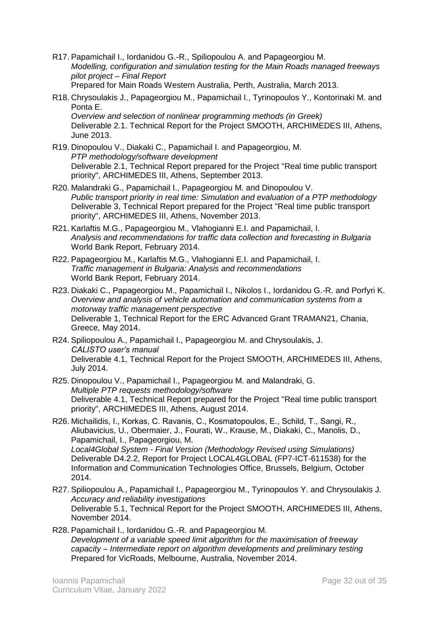- R17. Papamichail I., Iordanidou G.-R., Spiliopoulou A. and Papageorgiou M. *Modelling, configuration and simulation testing for the Main Roads managed freeways pilot project – Final Report* Prepared for Main Roads Western Australia, Perth, Australia, March 2013.
- R18. Chrysoulakis J., Papageorgiou M., Papamichail I., Tyrinopoulos Y., Kontorinaki M. and Ponta E. *Overview and selection of nonlinear programming methods (in Greek)* Deliverable 2.1. Technical Report for the Project SMOOTH, ARCHIMEDES III, Athens, June 2013.
- R19. Dinopoulou V., Diakaki C., Papamichail I. and Papageorgiou, M. *PTP methodology/software development* Deliverable 2.1, Technical Report prepared for the Project "Real time public transport priority", ARCHIMEDES III, Athens, September 2013.
- R20. Malandraki G., Papamichail I., Papageorgiou M. and Dinopoulou V. *Public transport priority in real time: Simulation and evaluation of a PTP methodology* Deliverable 3, Technical Report prepared for the Project "Real time public transport priority", ARCHIMEDES III, Athens, November 2013.
- R21. Karlaftis M.G., Papageorgiou M., Vlahogianni E.I. and Papamichail, I. *Analysis and recommendations for traffic data collection and forecasting in Bulgaria* World Bank Report, February 2014.
- R22. Papageorgiou M., Karlaftis M.G., Vlahogianni E.I. and Papamichail, I. *Traffic management in Bulgaria: Analysis and recommendations* World Bank Report, February 2014.
- R23. Diakaki C., Papageorgiou M., Papamichail I., Nikolos I., Iordanidou G.-R. and Porfyri K. *Overview and analysis of vehicle automation and communication systems from a motorway traffic management perspective* Deliverable 1, Technical Report for the ERC Advanced Grant TRAMAN21, Chania, Greece, May 2014.
- R24. Spiliopoulou A., Papamichail I., Papageorgiou M. and Chrysoulakis, J. *CALISTO user's manual* Deliverable 4.1, Technical Report for the Project SMOOTH, ARCHIMEDES III, Athens, July 2014.
- R25. Dinopoulou V., Papamichail I., Papageorgiou M. and Malandraki, G. *Multiple PTP requests methodology/software* Deliverable 4.1, Technical Report prepared for the Project "Real time public transport priority", ARCHIMEDES III, Athens, August 2014.
- R26. Michailidis, Ι., Korkas, C. Ravanis, C., Kosmatopoulos, E., Schild, T., Sangi, R., Aliubavicius, U., Obermaier, J., Fourati, W., Krause, M., Diakaki, C., Manolis, D., Papamichail, I., Papageorgiou, M. *Local4Global System - Final Version (Methodology Revised using Simulations)* Deliverable D4.2.2, Report for Project LOCAL4GLOBAL (FP7-ICT-611538) for the Information and Communication Technologies Office, Brussels, Belgium, October 2014.
- R27. Spiliopoulou A., Papamichail I., Papageorgiou M., Tyrinopoulos Y. and Chrysoulakis J. *Accuracy and reliability investigations* Deliverable 5.1, Technical Report for the Project SMOOTH, ARCHIMEDES III, Athens, November 2014.
- R28. Papamichail I., Iordanidou G.-R. and Papageorgiou M. *Development of a variable speed limit algorithm for the maximisation of freeway capacity – Intermediate report on algorithm developments and preliminary testing* Prepared for VicRoads, Melbourne, Australia, November 2014.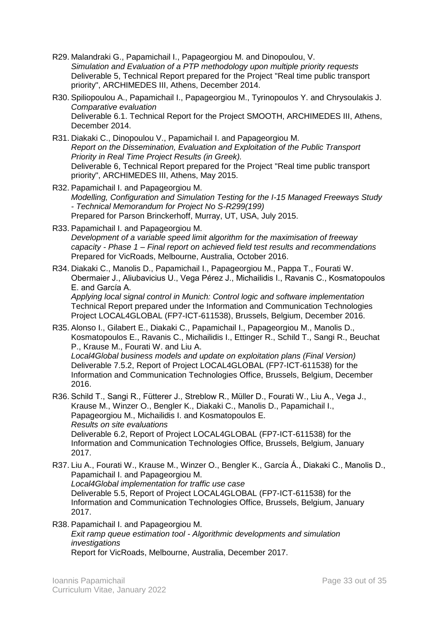- R29. Malandraki G., Papamichail I., Papageorgiou M. and Dinopoulou, V. *Simulation and Evaluation of a PTP methodology upon multiple priority requests* Deliverable 5, Technical Report prepared for the Project "Real time public transport priority", ARCHIMEDES III, Athens, December 2014.
- R30. Spiliopoulou A., Papamichail I., Papageorgiou M., Tyrinopoulos Y. and Chrysoulakis J. *Comparative evaluation* Deliverable 6.1. Technical Report for the Project SMOOTH, ARCHIMEDES III, Athens, December 2014.
- R31. Diakaki C., Dinopoulou V., Papamichail I. and Papageorgiou M. *Report on the Dissemination, Evaluation and Exploitation of the Public Transport Priority in Real Time Project Results (in Greek).* Deliverable 6, Technical Report prepared for the Project "Real time public transport priority", ARCHIMEDES III, Athens, May 2015.
- R32. Papamichail I. and Papageorgiou M. *Modelling, Configuration and Simulation Testing for the I-15 Managed Freeways Study - Technical Memorandum for Project No S-R299(199)* Prepared for Parson Brinckerhoff, Murray, UT, USA, July 2015.
- R33. Papamichail I. and Papageorgiou M. *Development of a variable speed limit algorithm for the maximisation of freeway capacity - Phase 1 – Final report on achieved field test results and recommendations* Prepared for VicRoads, Melbourne, Australia, October 2016.
- R34. Diakaki C., Manolis D., Papamichail I., Papageorgiou M., Pappa T., Fourati W. Οbermaier J., Aliubavicius U., Vega Pérez J., Michailidis I., Ravanis C., Kosmatopoulos E. and García A.

*Applying local signal control in Munich: Control logic and software implementation* Technical Report prepared under the Information and Communication Technologies Project LOCAL4GLOBAL (FP7-ICT-611538), Brussels, Belgium, December 2016.

- R35. Alonso I., Gilabert E., Diakaki C., Papamichail I., Papageorgiou M., Manolis D., Kosmatopoulos E., Ravanis C., Michailidis I., Ettinger R., Schild T., Sangi R., Beuchat P., Krause M., Fourati W. and Liu A. *Local4Global business models and update on exploitation plans (Final Version)* Deliverable 7.5.2, Report of Project LOCAL4GLOBAL (FP7-ICT-611538) for the Information and Communication Technologies Office, Brussels, Belgium, December 2016.
- R36. Schild T., Sangi R., Fütterer J., Streblow R., Müller D., Fourati W., Liu A., Vega J., Krause M., Winzer O., Bengler K., Diakaki C., Manolis D., Papamichail I., Papageorgiou M., Michailidis I. and Kosmatopoulos E. *Results on site evaluations* Deliverable 6.2, Report of Project LOCAL4GLOBAL (FP7-ICT-611538) for the Information and Communication Technologies Office, Brussels, Belgium, January 2017.
- R37. Liu A., Fourati W., Krause M., Winzer O., Bengler K., García Á., Diakaki C., Manolis D., Papamichail I. and Papageorgiou M. *Local4Global implementation for traffic use case* Deliverable 5.5, Report of Project LOCAL4GLOBAL (FP7-ICT-611538) for the Information and Communication Technologies Office, Brussels, Belgium, January 2017.
- R38. Papamichail I. and Papageorgiou M. *Exit ramp queue estimation tool - Algorithmic developments and simulation investigations* Report for VicRoads, Melbourne, Australia, December 2017.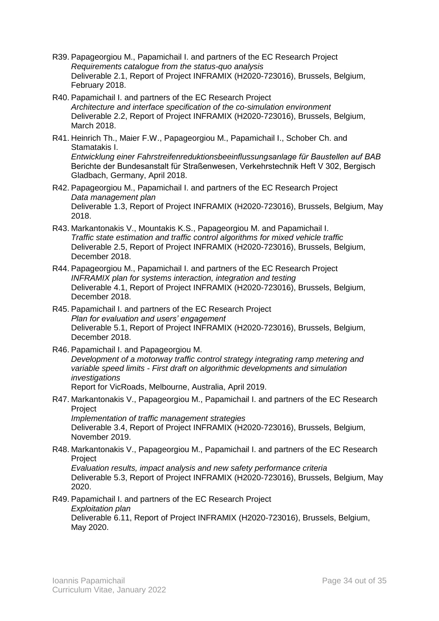- R39. Papageorgiou M., Papamichail I. and partners of the EC Research Project *Requirements catalogue from the status-quo analysis* Deliverable 2.1, Report of Project INFRAMIX (H2020-723016), Brussels, Belgium, February 2018.
- R40. Papamichail I. and partners of the EC Research Project *Architecture and interface specification of the co-simulation environment* Deliverable 2.2, Report of Project INFRAMIX (H2020-723016), Brussels, Belgium, March 2018.
- R41. Heinrich Th., Maier F.W., Papageorgiou M., Papamichail I., Schober Ch. and Stamatakis I. *Entwicklung einer Fahrstreifenreduktionsbeeinflussungsanlage für Baustellen auf BAB* Berichte der Bundesanstalt für Straßenwesen, Verkehrstechnik Heft V 302, Bergisch Gladbach, Germany, April 2018.
- R42. Papageorgiou M., Papamichail I. and partners of the EC Research Project *Data management plan* Deliverable 1.3, Report of Project INFRAMIX (H2020-723016), Brussels, Belgium, May 2018.
- R43. Markantonakis V., Mountakis K.S., Papageorgiou M. and Papamichail I. *Traffic state estimation and traffic control algorithms for mixed vehicle traffic* Deliverable 2.5, Report of Project INFRAMIX (H2020-723016), Brussels, Belgium, December 2018.
- R44. Papageorgiou M., Papamichail I. and partners of the EC Research Project *INFRAMIX plan for systems interaction, integration and testing* Deliverable 4.1, Report of Project INFRAMIX (H2020-723016), Brussels, Belgium, December 2018.
- R45. Papamichail I. and partners of the EC Research Project *Plan for evaluation and users' engagement* Deliverable 5.1, Report of Project INFRAMIX (H2020-723016), Brussels, Belgium, December 2018.
- R46. Papamichail I. and Papageorgiou M. *Development of a motorway traffic control strategy integrating ramp metering and variable speed limits - First draft on algorithmic developments and simulation investigations* Report for VicRoads, Melbourne, Australia, April 2019.
- R47. Markantonakis V., Papageorgiou M., Papamichail I. and partners of the EC Research **Project**

*Implementation of traffic management strategies* Deliverable 3.4, Report of Project INFRAMIX (H2020-723016), Brussels, Belgium, November 2019.

R48. Markantonakis V., Papageorgiou M., Papamichail I. and partners of the EC Research Project *Evaluation results, impact analysis and new safety performance criteria*

Deliverable 5.3, Report of Project INFRAMIX (H2020-723016), Brussels, Belgium, May 2020.

R49. Papamichail I. and partners of the EC Research Project *Exploitation plan* Deliverable 6.11, Report of Project INFRAMIX (H2020-723016), Brussels, Belgium, May 2020.